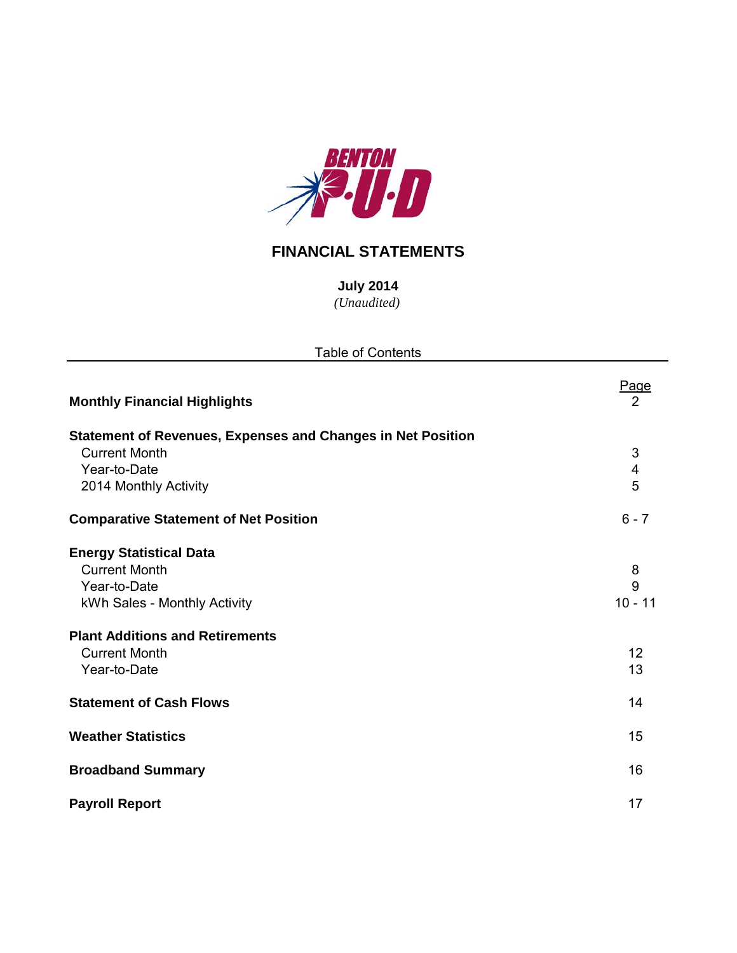

## **FINANCIAL STATEMENTS**

*(Unaudited)* **July 2014**

| <b>Table of Contents</b>                                                                               |                     |
|--------------------------------------------------------------------------------------------------------|---------------------|
| <b>Monthly Financial Highlights</b>                                                                    | Page<br>2           |
| <b>Statement of Revenues, Expenses and Changes in Net Position</b><br><b>Current Month</b>             | 3                   |
| Year-to-Date<br>2014 Monthly Activity                                                                  | 4<br>5              |
| <b>Comparative Statement of Net Position</b>                                                           | $6 - 7$             |
| <b>Energy Statistical Data</b><br><b>Current Month</b><br>Year-to-Date<br>kWh Sales - Monthly Activity | 8<br>9<br>$10 - 11$ |
| <b>Plant Additions and Retirements</b><br><b>Current Month</b><br>Year-to-Date                         | 12<br>13            |
| <b>Statement of Cash Flows</b>                                                                         | 14                  |
| <b>Weather Statistics</b>                                                                              | 15                  |
| <b>Broadband Summary</b>                                                                               | 16                  |
| <b>Payroll Report</b>                                                                                  | 17                  |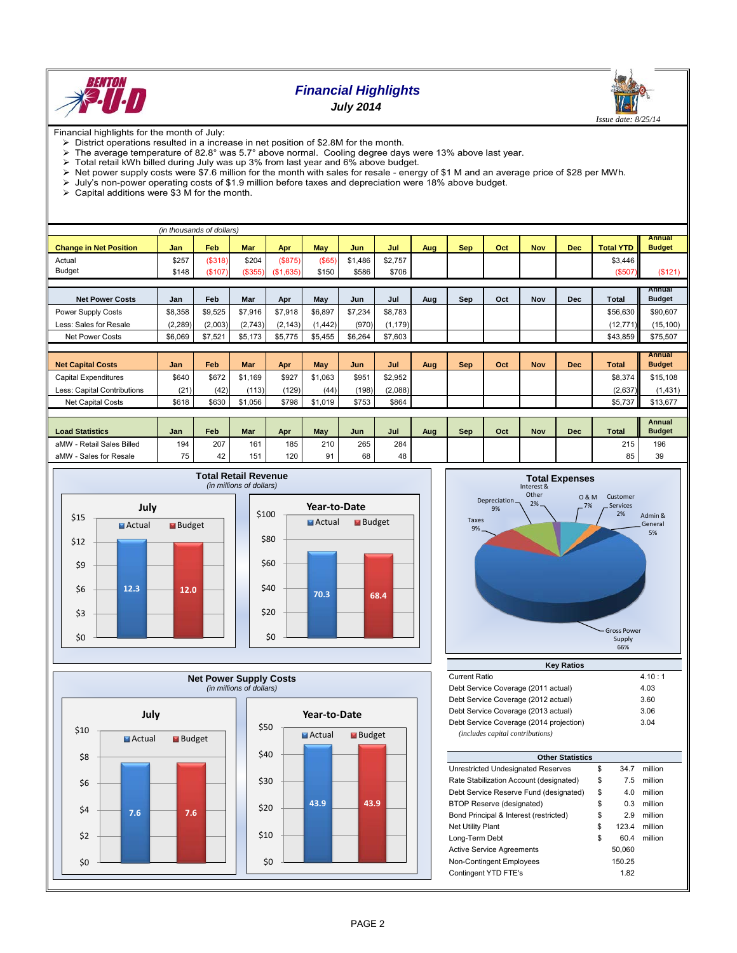

## *Financial Highlights July 2014*



Financial highlights for the month of July:

- $\triangleright$  District operations resulted in a increase in net position of \$2.8M for the month.<br> $\triangleright$  The average temperature of 82.8° was 5.7° above normal. Cooling degree day
- $\triangleright$  The average temperature of 82.8° was 5.7° above normal. Cooling degree days were 13% above last year.
- Total retail kWh billed during July was up 3% from last year and 6% above budget.
- $\triangleright$  Net power supply costs were \$7.6 million for the month with sales for resale energy of \$1 M and an average price of \$28 per MWh.
- July's non-power operating costs of \$1.9 million before taxes and depreciation were 18% above budget.
- $\geq$  July's non-power operating costs of  $\sqrt{2}$ .<br>  $\geq$  Capital additions were \$3 M for the month.

|                                                                                  |            | (in thousands of dollars) |                |                  |          |         |                 |     |            |     |            |            |                  |                                |
|----------------------------------------------------------------------------------|------------|---------------------------|----------------|------------------|----------|---------|-----------------|-----|------------|-----|------------|------------|------------------|--------------------------------|
| <b>Change in Net Position</b>                                                    | <b>Jan</b> | Feb                       | <b>Mar</b>     | Apr              | May      | Jun     | Jul             | Aug | <b>Sep</b> | Oct | <b>Nov</b> | Dec        | <b>Total YTD</b> | <b>Annual</b><br><b>Budget</b> |
| Actual                                                                           | \$257      | ( \$318)                  | \$204          | (S875)           | (\$65)   | \$1,486 | \$2,757         |     |            |     |            |            | \$3,446          |                                |
| <b>Budget</b>                                                                    | \$148      | (\$107)                   | (\$355)        | (\$1,635)        | \$150    | \$586   | \$706           |     |            |     |            |            | (\$507)          | (\$121)                        |
|                                                                                  |            |                           |                |                  |          |         |                 |     |            |     |            |            |                  |                                |
| <b>Net Power Costs</b>                                                           | Jan        | Feb                       | Mar            | Apr              | May      | Jun     | Jul             | Aug | Sep        | Oct | <b>Nov</b> | <b>Dec</b> | Total            | Annual<br><b>Budget</b>        |
| Power Supply Costs                                                               | \$8,358    | \$9,525                   | \$7,916        | \$7,918          | \$6,897  | \$7,234 | \$8,783         |     |            |     |            |            | \$56,630         | \$90,607                       |
| Less: Sales for Resale                                                           | (2, 289)   | (2,003)                   | (2,743)        | (2, 143)         | (1, 442) | (970)   | (1, 179)        |     |            |     |            |            | (12, 771)        | (15, 100)                      |
| <b>Net Power Costs</b>                                                           | \$6,069    | \$7,521                   | \$5,173        | \$5,775          | \$5,455  | \$6,264 | \$7,603         |     |            |     |            |            | \$43,859         | \$75,507                       |
|                                                                                  |            |                           |                |                  |          |         |                 |     |            |     |            |            |                  |                                |
| <b>Net Capital Costs</b>                                                         | Jan        | Feb                       | <b>Mar</b>     | Apr              | May      | Jun     | Jul             | Aug | <b>Sep</b> | Oct | <b>Nov</b> | <b>Dec</b> | <b>Total</b>     | <b>Annual</b><br><b>Budget</b> |
| Capital Expenditures                                                             | \$640      | \$672                     | \$1.169        | \$927            | \$1,063  | \$951   | \$2,952         |     |            |     |            |            | \$8,374          | \$15,108                       |
| Less: Capital Contributions                                                      | (21)       | (42)                      | (113)          | (129)            | (44)     | (198)   | (2,088)         |     |            |     |            |            | (2,637)          | (1,431)                        |
| <b>Net Capital Costs</b>                                                         | \$618      | \$630                     | \$1,056        | \$798            | \$1,019  | \$753   | \$864           |     |            |     |            |            | \$5,737          | \$13,677                       |
|                                                                                  |            |                           |                |                  |          |         |                 |     |            |     |            |            |                  |                                |
|                                                                                  |            |                           |                |                  |          |         |                 |     |            |     |            |            |                  | <b>Annual</b>                  |
| <b>Load Statistics</b>                                                           | Jan        | Feb                       | <b>Mar</b>     | Apr              | May      | Jun     | Jul             | Aug | Sep        | Oct | <b>Nov</b> | <b>Dec</b> | <b>Total</b>     | <b>Budget</b>                  |
| aMW - Retail Sales Billed                                                        | 194        | 207                       | 161            | 185              | 210      | 265     | 284             |     |            |     |            |            | 215              | 196                            |
| $\mathbf{A}$ and $\mathbf{A}$ and $\mathbf{A}$ and $\mathbf{A}$ and $\mathbf{A}$ | $-$        | $\sim$                    | $\overline{1}$ | $\overline{100}$ | $\sim$   | $\sim$  | $\overline{10}$ |     |            |     |            |            | $\sim$ $-$       | $\sim$                         |







| <b>Current Ratio</b>                    | 4.10:1 |
|-----------------------------------------|--------|
| Debt Service Coverage (2011 actual)     | 4.03   |
| Debt Service Coverage (2012 actual)     | 3.60   |
| Debt Service Coverage (2013 actual)     | 3.06   |
| Debt Service Coverage (2014 projection) | 3.04   |
| (includes capital contributions)        |        |

| <b>Other Statistics</b> |        |         |  |  |  |  |  |  |  |  |  |
|-------------------------|--------|---------|--|--|--|--|--|--|--|--|--|
|                         |        |         |  |  |  |  |  |  |  |  |  |
| \$                      | 34.7   | million |  |  |  |  |  |  |  |  |  |
| \$                      | 7.5    | million |  |  |  |  |  |  |  |  |  |
| \$                      | 4.0    | million |  |  |  |  |  |  |  |  |  |
| \$                      | 0.3    | million |  |  |  |  |  |  |  |  |  |
| \$                      | 2.9    | million |  |  |  |  |  |  |  |  |  |
| \$                      | 123.4  | million |  |  |  |  |  |  |  |  |  |
| \$                      | 60.4   | million |  |  |  |  |  |  |  |  |  |
|                         | 50.060 |         |  |  |  |  |  |  |  |  |  |
|                         | 150.25 |         |  |  |  |  |  |  |  |  |  |
|                         | 1.82   |         |  |  |  |  |  |  |  |  |  |
|                         |        |         |  |  |  |  |  |  |  |  |  |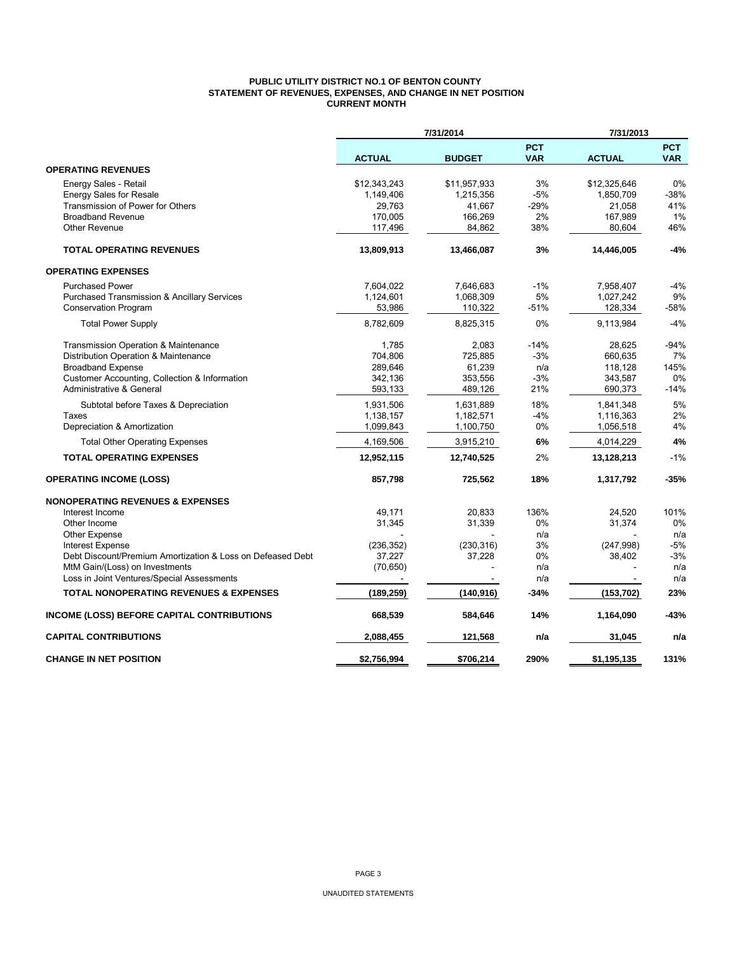## **PUBLIC UTILITY DISTRICT NO.1 OF BENTON COUNTY STATEMENT OF REVENUES, EXPENSES, AND CHANGE IN NET POSITION CURRENT MONTH**

|                                                                                              |                     | 7/31/2014     |                          | 7/31/2013     |                          |
|----------------------------------------------------------------------------------------------|---------------------|---------------|--------------------------|---------------|--------------------------|
|                                                                                              | <b>ACTUAL</b>       | <b>BUDGET</b> | <b>PCT</b><br><b>VAR</b> | <b>ACTUAL</b> | <b>PCT</b><br><b>VAR</b> |
| <b>OPERATING REVENUES</b>                                                                    |                     |               |                          |               |                          |
| Energy Sales - Retail                                                                        | \$12,343,243        | \$11,957,933  | 3%                       | \$12,325,646  | 0%                       |
| <b>Energy Sales for Resale</b>                                                               | 1,149,406           | 1,215,356     | $-5%$                    | 1,850,709     | $-38%$                   |
| Transmission of Power for Others                                                             | 29,763              | 41,667        | $-29%$                   | 21,058        | 41%                      |
| <b>Broadband Revenue</b>                                                                     | 170,005             | 166,269       | 2%                       | 167,989       | 1%                       |
| <b>Other Revenue</b>                                                                         | 117,496             | 84,862        | 38%                      | 80,604        | 46%                      |
| <b>TOTAL OPERATING REVENUES</b>                                                              | 13,809,913          | 13,466,087    | 3%                       | 14,446,005    | -4%                      |
| <b>OPERATING EXPENSES</b>                                                                    |                     |               |                          |               |                          |
| <b>Purchased Power</b>                                                                       | 7,604,022           | 7,646,683     | $-1%$                    | 7,958,407     | $-4%$                    |
| <b>Purchased Transmission &amp; Ancillary Services</b>                                       | 1,124,601           | 1,068,309     | 5%                       | 1,027,242     | 9%                       |
| <b>Conservation Program</b>                                                                  | 53,986              | 110,322       | -51%                     | 128,334       | $-58%$                   |
| <b>Total Power Supply</b>                                                                    | 8,782,609           | 8,825,315     | 0%                       | 9,113,984     | $-4%$                    |
| Transmission Operation & Maintenance                                                         | 1,785               | 2,083         | $-14%$                   | 28,625        | $-94%$                   |
| Distribution Operation & Maintenance                                                         | 704,806             | 725,885       | $-3%$                    | 660,635       | 7%                       |
| <b>Broadband Expense</b>                                                                     | 289,646             | 61,239        | n/a                      | 118,128       | 145%                     |
| Customer Accounting, Collection & Information                                                | 342,136             | 353,556       | -3%                      | 343,587       | 0%                       |
| Administrative & General                                                                     | 593,133             | 489,126       | 21%                      | 690,373       | $-14%$                   |
| Subtotal before Taxes & Depreciation                                                         | 1,931,506           | 1,631,889     | 18%                      | 1,841,348     | 5%                       |
| Taxes                                                                                        | 1,138,157           | 1,182,571     | $-4%$                    | 1,116,363     | 2%                       |
| Depreciation & Amortization                                                                  | 1,099,843           | 1,100,750     | 0%                       | 1,056,518     | 4%                       |
| <b>Total Other Operating Expenses</b>                                                        | 4,169,506           | 3,915,210     | 6%                       | 4,014,229     | 4%                       |
| <b>TOTAL OPERATING EXPENSES</b>                                                              | 12,952,115          | 12,740,525    | 2%                       | 13,128,213    | $-1%$                    |
| <b>OPERATING INCOME (LOSS)</b>                                                               | 857,798             | 725,562       | 18%                      | 1,317,792     | $-35%$                   |
| <b>NONOPERATING REVENUES &amp; EXPENSES</b>                                                  |                     |               |                          |               |                          |
| Interest Income                                                                              | 49,171              | 20,833        | 136%                     | 24,520        | 101%                     |
| Other Income                                                                                 | 31,345              | 31,339        | 0%                       | 31,374        | 0%                       |
| <b>Other Expense</b>                                                                         |                     |               | n/a                      |               | n/a                      |
| <b>Interest Expense</b>                                                                      | (236, 352)          | (230, 316)    | 3%                       | (247, 998)    | $-5%$                    |
| Debt Discount/Premium Amortization & Loss on Defeased Debt<br>MtM Gain/(Loss) on Investments | 37,227<br>(70, 650) | 37,228        | 0%<br>n/a                | 38,402        | $-3%$<br>n/a             |
| Loss in Joint Ventures/Special Assessments                                                   |                     |               | n/a                      |               | n/a                      |
|                                                                                              |                     |               |                          |               |                          |
| <b>TOTAL NONOPERATING REVENUES &amp; EXPENSES</b>                                            | (189, 259)          | (140, 916)    | $-34%$                   | (153, 702)    | 23%                      |
| INCOME (LOSS) BEFORE CAPITAL CONTRIBUTIONS                                                   | 668,539             | 584,646       | 14%                      | 1,164,090     | $-43%$                   |
| <b>CAPITAL CONTRIBUTIONS</b>                                                                 | 2,088,455           | 121,568       | n/a                      | 31,045        | n/a                      |
| <b>CHANGE IN NET POSITION</b>                                                                | \$2,756,994         | \$706,214     | 290%                     | \$1,195,135   | 131%                     |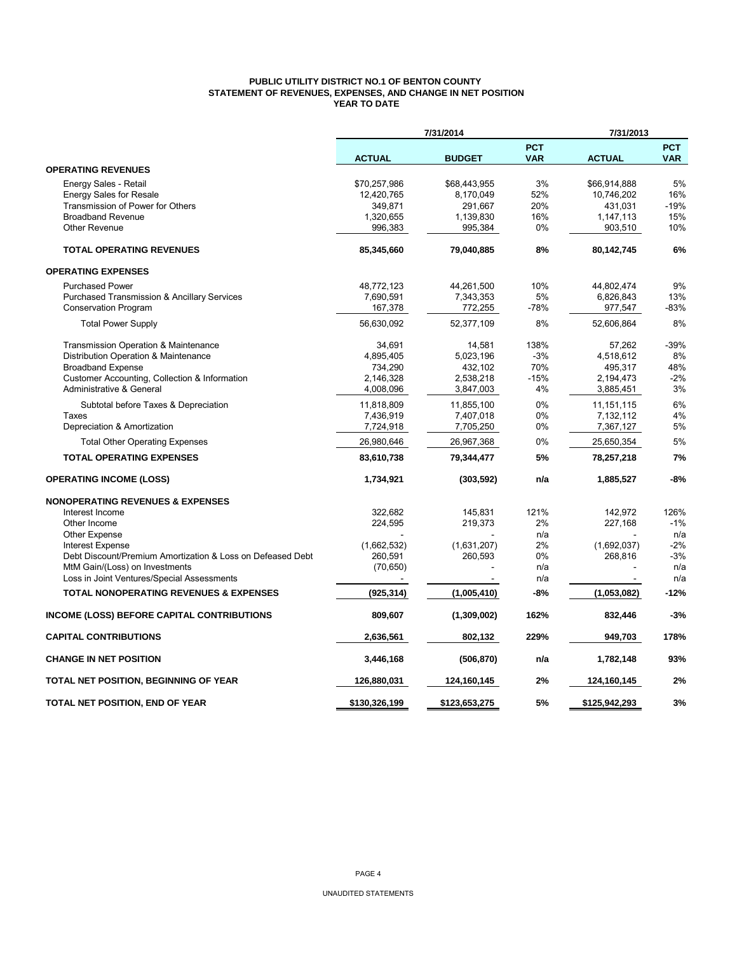## **PUBLIC UTILITY DISTRICT NO.1 OF BENTON COUNTY STATEMENT OF REVENUES, EXPENSES, AND CHANGE IN NET POSITION YEAR TO DATE**

|                                                            |               | 7/31/2014     |                          | 7/31/2013     |                          |
|------------------------------------------------------------|---------------|---------------|--------------------------|---------------|--------------------------|
|                                                            | <b>ACTUAL</b> | <b>BUDGET</b> | <b>PCT</b><br><b>VAR</b> | <b>ACTUAL</b> | <b>PCT</b><br><b>VAR</b> |
| <b>OPERATING REVENUES</b>                                  |               |               |                          |               |                          |
| Energy Sales - Retail                                      | \$70,257,986  | \$68,443,955  | 3%                       | \$66,914,888  | 5%                       |
| <b>Energy Sales for Resale</b>                             | 12,420,765    | 8,170,049     | 52%                      | 10,746,202    | 16%                      |
| Transmission of Power for Others                           | 349,871       | 291,667       | 20%                      | 431,031       | $-19%$                   |
| <b>Broadband Revenue</b>                                   | 1,320,655     | 1,139,830     | 16%                      | 1,147,113     | 15%                      |
| <b>Other Revenue</b>                                       | 996,383       | 995,384       | 0%                       | 903,510       | 10%                      |
| <b>TOTAL OPERATING REVENUES</b>                            | 85,345,660    | 79,040,885    | 8%                       | 80,142,745    | 6%                       |
| <b>OPERATING EXPENSES</b>                                  |               |               |                          |               |                          |
| <b>Purchased Power</b>                                     | 48,772,123    | 44,261,500    | 10%                      | 44,802,474    | 9%                       |
| <b>Purchased Transmission &amp; Ancillary Services</b>     | 7,690,591     | 7,343,353     | 5%                       | 6,826,843     | 13%                      |
| Conservation Program                                       | 167,378       | 772,255       | $-78%$                   | 977,547       | $-83%$                   |
| <b>Total Power Supply</b>                                  | 56,630,092    | 52,377,109    | 8%                       | 52,606,864    | 8%                       |
| Transmission Operation & Maintenance                       | 34.691        | 14,581        | 138%                     | 57,262        | $-39%$                   |
| Distribution Operation & Maintenance                       | 4,895,405     | 5,023,196     | $-3%$                    | 4,518,612     | 8%                       |
| <b>Broadband Expense</b>                                   | 734,290       | 432,102       | 70%                      | 495,317       | 48%                      |
| Customer Accounting, Collection & Information              | 2.146.328     | 2,538,218     | $-15%$                   | 2,194,473     | $-2%$                    |
| Administrative & General                                   | 4,008,096     | 3,847,003     | 4%                       | 3,885,451     | 3%                       |
| Subtotal before Taxes & Depreciation                       | 11,818,809    | 11,855,100    | 0%                       | 11, 151, 115  | 6%                       |
| Taxes                                                      | 7,436,919     | 7,407,018     | 0%                       | 7,132,112     | 4%                       |
| Depreciation & Amortization                                | 7,724,918     | 7,705,250     | 0%                       | 7,367,127     | 5%                       |
| <b>Total Other Operating Expenses</b>                      | 26,980,646    | 26,967,368    | 0%                       | 25,650,354    | 5%                       |
| <b>TOTAL OPERATING EXPENSES</b>                            | 83,610,738    | 79,344,477    | 5%                       | 78,257,218    | 7%                       |
| <b>OPERATING INCOME (LOSS)</b>                             | 1,734,921     | (303, 592)    | n/a                      | 1,885,527     | -8%                      |
| <b>NONOPERATING REVENUES &amp; EXPENSES</b>                |               |               |                          |               |                          |
| Interest Income                                            | 322.682       | 145,831       | 121%                     | 142,972       | 126%                     |
| Other Income                                               | 224,595       | 219,373       | 2%                       | 227,168       | $-1%$                    |
| Other Expense                                              |               |               | n/a                      |               | n/a                      |
| <b>Interest Expense</b>                                    | (1,662,532)   | (1,631,207)   | 2%                       | (1,692,037)   | $-2%$                    |
| Debt Discount/Premium Amortization & Loss on Defeased Debt | 260,591       | 260,593       | 0%                       | 268,816       | $-3%$                    |
| MtM Gain/(Loss) on Investments                             | (70, 650)     |               | n/a                      |               | n/a                      |
| Loss in Joint Ventures/Special Assessments                 |               |               | n/a                      |               | n/a                      |
| <b>TOTAL NONOPERATING REVENUES &amp; EXPENSES</b>          | (925, 314)    | (1,005,410)   | $-8%$                    | (1,053,082)   | $-12%$                   |
| <b>INCOME (LOSS) BEFORE CAPITAL CONTRIBUTIONS</b>          | 809,607       | (1,309,002)   | 162%                     | 832,446       | $-3%$                    |
| <b>CAPITAL CONTRIBUTIONS</b>                               | 2,636,561     | 802,132       | 229%                     | 949,703       | 178%                     |
| <b>CHANGE IN NET POSITION</b>                              | 3,446,168     | (506, 870)    | n/a                      | 1,782,148     | 93%                      |
| TOTAL NET POSITION, BEGINNING OF YEAR                      | 126,880,031   | 124,160,145   | 2%                       | 124,160,145   | 2%                       |
| TOTAL NET POSITION, END OF YEAR                            | \$130,326,199 | \$123,653,275 | 5%                       | \$125,942,293 | 3%                       |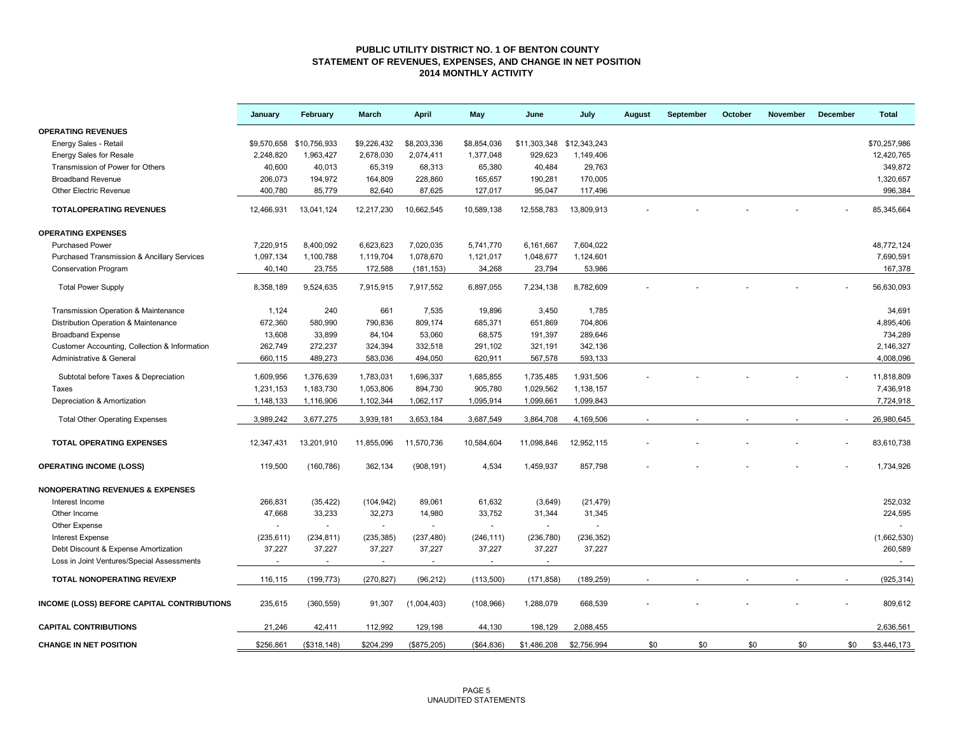#### **PUBLIC UTILITY DISTRICT NO. 1 OF BENTON COUNTY STATEMENT OF REVENUES, EXPENSES, AND CHANGE IN NET POSITION 2014 MONTHLY ACTIVITY**

|                                                        | January    | February                 | March                    | <b>April</b>             | May                      | June                      | July        | August | September | October | <b>November</b> | December | <b>Total</b> |
|--------------------------------------------------------|------------|--------------------------|--------------------------|--------------------------|--------------------------|---------------------------|-------------|--------|-----------|---------|-----------------|----------|--------------|
| <b>OPERATING REVENUES</b>                              |            |                          |                          |                          |                          |                           |             |        |           |         |                 |          |              |
| Energy Sales - Retail                                  |            | \$9,570,658 \$10,756,933 | \$9,226,432              | \$8,203,336              | \$8,854,036              | \$11,303,348 \$12,343,243 |             |        |           |         |                 |          | \$70,257,986 |
| <b>Energy Sales for Resale</b>                         | 2,248,820  | 1,963,427                | 2,678,030                | 2,074,411                | 1,377,048                | 929,623                   | 1,149,406   |        |           |         |                 |          | 12,420,765   |
| Transmission of Power for Others                       | 40,600     | 40,013                   | 65,319                   | 68,313                   | 65,380                   | 40,484                    | 29,763      |        |           |         |                 |          | 349,872      |
| <b>Broadband Revenue</b>                               | 206,073    | 194,972                  | 164,809                  | 228,860                  | 165,657                  | 190,281                   | 170,005     |        |           |         |                 |          | 1,320,657    |
| <b>Other Electric Revenue</b>                          | 400,780    | 85,779                   | 82,640                   | 87,625                   | 127,017                  | 95,047                    | 117,496     |        |           |         |                 |          | 996,384      |
| <b>TOTALOPERATING REVENUES</b>                         | 12,466,931 | 13,041,124               | 12,217,230               | 10,662,545               | 10,589,138               | 12,558,783                | 13,809,913  |        |           |         |                 |          | 85,345,664   |
| <b>OPERATING EXPENSES</b>                              |            |                          |                          |                          |                          |                           |             |        |           |         |                 |          |              |
| <b>Purchased Power</b>                                 | 7,220,915  | 8,400,092                | 6,623,623                | 7,020,035                | 5,741,770                | 6,161,667                 | 7,604,022   |        |           |         |                 |          | 48,772,124   |
| <b>Purchased Transmission &amp; Ancillary Services</b> | 1,097,134  | 1,100,788                | 1,119,704                | 1,078,670                | 1,121,017                | 1,048,677                 | 1,124,601   |        |           |         |                 |          | 7,690,591    |
| <b>Conservation Program</b>                            | 40,140     | 23,755                   | 172,588                  | (181, 153)               | 34,268                   | 23,794                    | 53,986      |        |           |         |                 |          | 167,378      |
| <b>Total Power Supply</b>                              | 8,358,189  | 9,524,635                | 7,915,915                | 7,917,552                | 6,897,055                | 7,234,138                 | 8,782,609   |        |           |         |                 |          | 56,630,093   |
| Transmission Operation & Maintenance                   | 1,124      | 240                      | 661                      | 7,535                    | 19,896                   | 3,450                     | 1,785       |        |           |         |                 |          | 34,691       |
| Distribution Operation & Maintenance                   | 672,360    | 580,990                  | 790,836                  | 809,174                  | 685,371                  | 651,869                   | 704,806     |        |           |         |                 |          | 4,895,406    |
| <b>Broadband Expense</b>                               | 13,608     | 33,899                   | 84,104                   | 53,060                   | 68,575                   | 191,397                   | 289,646     |        |           |         |                 |          | 734,289      |
| Customer Accounting, Collection & Information          | 262,749    | 272,237                  | 324,394                  | 332,518                  | 291,102                  | 321,191                   | 342,136     |        |           |         |                 |          | 2,146,327    |
| Administrative & General                               | 660,115    | 489,273                  | 583,036                  | 494,050                  | 620,911                  | 567,578                   | 593,133     |        |           |         |                 |          | 4,008,096    |
|                                                        |            |                          |                          |                          |                          |                           |             |        |           |         |                 |          |              |
| Subtotal before Taxes & Depreciation                   | 1,609,956  | 1,376,639                | 1,783,031                | 1,696,337                | 1,685,855                | 1,735,485                 | 1,931,506   |        |           |         |                 |          | 11,818,809   |
| Taxes                                                  | 1,231,153  | 1,183,730                | 1,053,806                | 894,730                  | 905,780                  | 1,029,562                 | 1,138,157   |        |           |         |                 |          | 7,436,918    |
| Depreciation & Amortization                            | 1,148,133  | 1,116,906                | 1,102,344                | 1,062,117                | 1,095,914                | 1,099,661                 | 1,099,843   |        |           |         |                 |          | 7,724,918    |
| <b>Total Other Operating Expenses</b>                  | 3,989,242  | 3,677,275                | 3,939,181                | 3,653,184                | 3,687,549                | 3,864,708                 | 4,169,506   |        |           |         |                 |          | 26,980,645   |
| <b>TOTAL OPERATING EXPENSES</b>                        | 12,347,431 | 13,201,910               | 11,855,096               | 11,570,736               | 10,584,604               | 11,098,846                | 12,952,115  |        |           |         |                 |          | 83,610,738   |
| <b>OPERATING INCOME (LOSS)</b>                         | 119,500    | (160, 786)               | 362,134                  | (908, 191)               | 4,534                    | 1,459,937                 | 857,798     |        |           |         |                 |          | 1,734,926    |
| <b>NONOPERATING REVENUES &amp; EXPENSES</b>            |            |                          |                          |                          |                          |                           |             |        |           |         |                 |          |              |
| Interest Income                                        | 266,831    | (35, 422)                | (104, 942)               | 89,061                   | 61,632                   | (3,649)                   | (21, 479)   |        |           |         |                 |          | 252,032      |
| Other Income                                           | 47,668     | 33,233                   | 32,273                   | 14,980                   | 33,752                   | 31,344                    | 31,345      |        |           |         |                 |          | 224,595      |
| Other Expense                                          |            |                          | $\sim$                   |                          |                          | $\omega$                  |             |        |           |         |                 |          |              |
| <b>Interest Expense</b>                                | (235, 611) | (234, 811)               | (235, 385)               | (237, 480)               | (246, 111)               | (236, 780)                | (236, 352)  |        |           |         |                 |          | (1,662,530)  |
| Debt Discount & Expense Amortization                   | 37,227     | 37,227                   | 37,227                   | 37,227                   | 37,227                   | 37,227                    | 37,227      |        |           |         |                 |          | 260,589      |
| Loss in Joint Ventures/Special Assessments             |            | $\blacksquare$           | $\overline{\phantom{a}}$ | $\overline{\phantom{a}}$ | $\overline{\phantom{a}}$ | $\sim$                    |             |        |           |         |                 |          | $\sim$       |
| TOTAL NONOPERATING REV/EXP                             | 116,115    | (199, 773)               | (270, 827)               | (96, 212)                | (113,500)                | (171, 858)                | (189, 259)  |        |           |         |                 |          | (925, 314)   |
| <b>INCOME (LOSS) BEFORE CAPITAL CONTRIBUTIONS</b>      | 235,615    | (360, 559)               | 91,307                   | (1,004,403)              | (108, 966)               | 1,288,079                 | 668,539     |        |           |         |                 |          | 809,612      |
| <b>CAPITAL CONTRIBUTIONS</b>                           | 21,246     | 42,411                   | 112,992                  | 129,198                  | 44,130                   | 198,129                   | 2,088,455   |        |           |         |                 |          | 2,636,561    |
| <b>CHANGE IN NET POSITION</b>                          | \$256,861  | (\$318, 148)             | \$204,299                | (\$875,205)              | ( \$64, 836)             | \$1,486,208               | \$2,756.994 | \$0    | \$0       | \$0     | \$0             | \$0      | \$3,446.173  |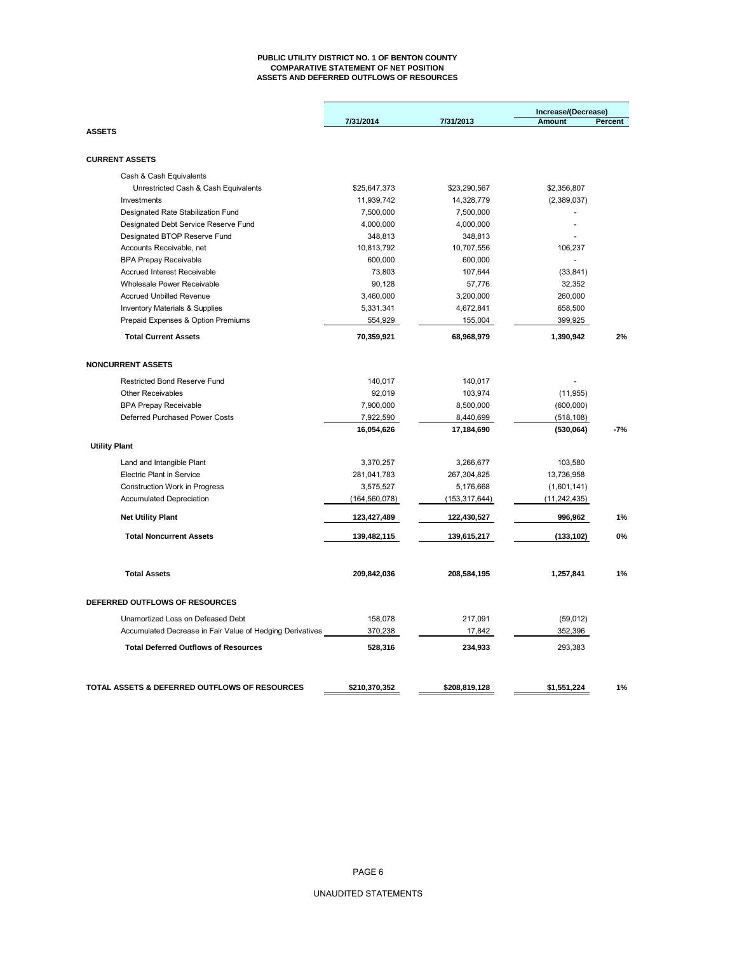#### **PUBLIC UTILITY DISTRICT NO. 1 OF BENTON COUNTY COMPARATIVE STATEMENT OF NET POSITION ASSETS AND DEFERRED OUTFLOWS OF RESOURCES**

|                                                           | 7/31/2014       | 7/31/2013       | Increase/(Decrease)<br>Amount | Percent |
|-----------------------------------------------------------|-----------------|-----------------|-------------------------------|---------|
| <b>ASSETS</b>                                             |                 |                 |                               |         |
| <b>CURRENT ASSETS</b>                                     |                 |                 |                               |         |
| Cash & Cash Equivalents                                   |                 |                 |                               |         |
| Unrestricted Cash & Cash Equivalents                      | \$25,647,373    | \$23,290,567    | \$2,356,807                   |         |
| Investments                                               | 11,939,742      | 14,328,779      | (2,389,037)                   |         |
| Designated Rate Stabilization Fund                        | 7,500,000       | 7,500,000       | $\overline{a}$                |         |
| Designated Debt Service Reserve Fund                      | 4,000,000       | 4,000,000       | $\overline{a}$                |         |
| Designated BTOP Reserve Fund                              | 348,813         | 348,813         |                               |         |
| Accounts Receivable, net                                  | 10,813,792      | 10,707,556      | 106,237                       |         |
| <b>BPA Prepay Receivable</b>                              | 600,000         | 600,000         | $\blacksquare$                |         |
| <b>Accrued Interest Receivable</b>                        | 73,803          | 107,644         | (33, 841)                     |         |
| Wholesale Power Receivable                                | 90,128          | 57,776          | 32,352                        |         |
| <b>Accrued Unbilled Revenue</b>                           | 3,460,000       | 3,200,000       | 260,000                       |         |
| Inventory Materials & Supplies                            | 5,331,341       | 4,672,841       | 658,500                       |         |
| Prepaid Expenses & Option Premiums                        | 554,929         | 155,004         | 399,925                       |         |
| <b>Total Current Assets</b>                               | 70,359,921      | 68,968,979      | 1,390,942                     | 2%      |
| <b>NONCURRENT ASSETS</b>                                  |                 |                 |                               |         |
| Restricted Bond Reserve Fund                              | 140,017         | 140,017         |                               |         |
| <b>Other Receivables</b>                                  | 92,019          | 103,974         | (11, 955)                     |         |
| <b>BPA Prepay Receivable</b>                              | 7,900,000       | 8,500,000       | (600,000)                     |         |
| Deferred Purchased Power Costs                            | 7,922,590       | 8,440,699       | (518, 108)                    |         |
|                                                           | 16,054,626      | 17,184,690      | (530,064)                     | $-7%$   |
| <b>Utility Plant</b>                                      |                 |                 |                               |         |
| Land and Intangible Plant                                 | 3,370,257       | 3,266,677       | 103,580                       |         |
| <b>Electric Plant in Service</b>                          | 281,041,783     | 267,304,825     | 13,736,958                    |         |
| <b>Construction Work in Progress</b>                      | 3,575,527       | 5,176,668       | (1,601,141)                   |         |
| <b>Accumulated Depreciation</b>                           | (164, 560, 078) | (153, 317, 644) | (11, 242, 435)                |         |
| <b>Net Utility Plant</b>                                  | 123,427,489     | 122,430,527     | 996,962                       | 1%      |
| <b>Total Noncurrent Assets</b>                            | 139,482,115     | 139,615,217     | (133, 102)                    | $0\%$   |
| <b>Total Assets</b>                                       | 209,842,036     | 208,584,195     | 1,257,841                     | 1%      |
|                                                           |                 |                 |                               |         |
| DEFERRED OUTFLOWS OF RESOURCES                            |                 |                 |                               |         |
| Unamortized Loss on Defeased Debt                         | 158,078         | 217,091         | (59, 012)                     |         |
| Accumulated Decrease in Fair Value of Hedging Derivatives | 370,238         | 17,842          | 352,396                       |         |
| <b>Total Deferred Outflows of Resources</b>               | 528,316         | 234,933         | 293,383                       |         |
| TOTAL ASSETS & DEFERRED OUTFLOWS OF RESOURCES             |                 |                 |                               |         |
|                                                           | \$210,370,352   | \$208,819,128   | \$1,551,224                   | 1%      |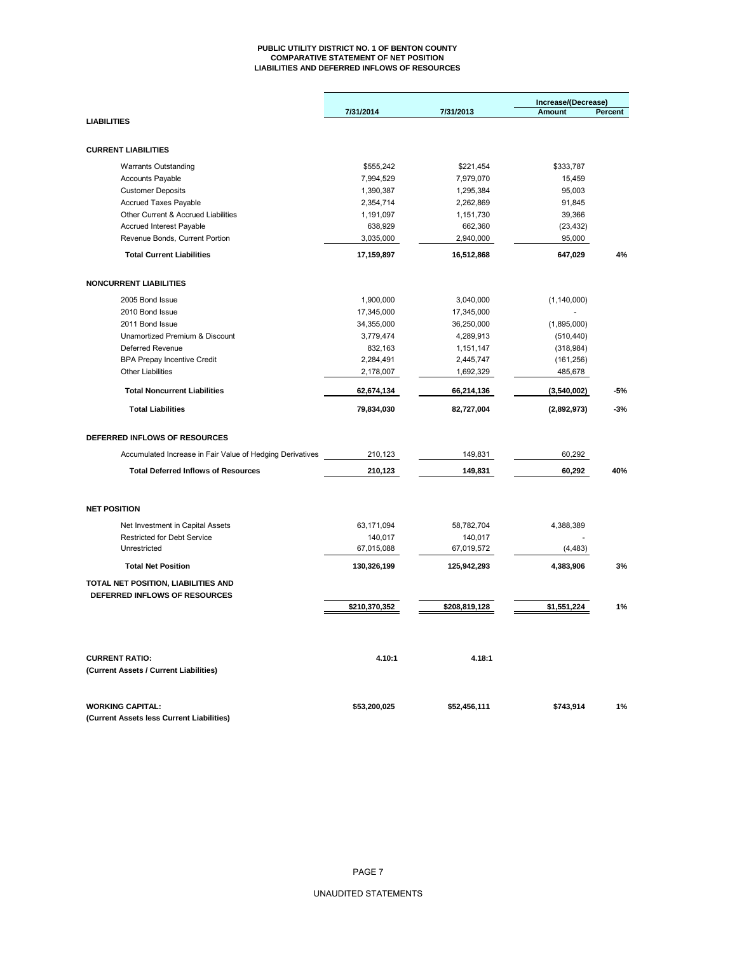#### **PUBLIC UTILITY DISTRICT NO. 1 OF BENTON COUNTY COMPARATIVE STATEMENT OF NET POSITION LIABILITIES AND DEFERRED INFLOWS OF RESOURCES**

|                                                                      |               |               | Increase/(Decrease) |         |
|----------------------------------------------------------------------|---------------|---------------|---------------------|---------|
|                                                                      | 7/31/2014     | 7/31/2013     | <b>Amount</b>       | Percent |
| <b>LIABILITIES</b>                                                   |               |               |                     |         |
|                                                                      |               |               |                     |         |
| <b>CURRENT LIABILITIES</b>                                           |               |               |                     |         |
| <b>Warrants Outstanding</b>                                          | \$555,242     | \$221,454     | \$333,787           |         |
| <b>Accounts Payable</b>                                              | 7,994,529     | 7,979,070     | 15,459              |         |
| <b>Customer Deposits</b>                                             | 1,390,387     | 1,295,384     | 95,003              |         |
| <b>Accrued Taxes Payable</b>                                         | 2,354,714     | 2,262,869     | 91,845              |         |
| Other Current & Accrued Liabilities                                  | 1,191,097     | 1,151,730     | 39,366              |         |
| Accrued Interest Payable                                             | 638,929       | 662,360       | (23, 432)           |         |
| Revenue Bonds, Current Portion                                       | 3,035,000     | 2,940,000     | 95,000              |         |
| <b>Total Current Liabilities</b>                                     | 17,159,897    | 16,512,868    | 647,029             | 4%      |
| <b>NONCURRENT LIABILITIES</b>                                        |               |               |                     |         |
| 2005 Bond Issue                                                      | 1,900,000     | 3,040,000     |                     |         |
| 2010 Bond Issue                                                      | 17,345,000    | 17,345,000    | (1, 140, 000)       |         |
| 2011 Bond Issue                                                      | 34,355,000    | 36,250,000    | (1,895,000)         |         |
| Unamortized Premium & Discount                                       | 3,779,474     | 4,289,913     | (510, 440)          |         |
| Deferred Revenue                                                     | 832,163       | 1,151,147     | (318, 984)          |         |
| <b>BPA Prepay Incentive Credit</b>                                   | 2,284,491     | 2,445,747     | (161, 256)          |         |
| <b>Other Liabilities</b>                                             | 2,178,007     | 1,692,329     | 485,678             |         |
| <b>Total Noncurrent Liabilities</b>                                  | 62,674,134    | 66,214,136    | (3,540,002)         | -5%     |
|                                                                      |               |               |                     |         |
| <b>Total Liabilities</b>                                             | 79,834,030    | 82,727,004    | (2,892,973)         | $-3%$   |
| DEFERRED INFLOWS OF RESOURCES                                        |               |               |                     |         |
| Accumulated Increase in Fair Value of Hedging Derivatives            | 210,123       | 149,831       | 60,292              |         |
|                                                                      |               |               |                     |         |
| <b>Total Deferred Inflows of Resources</b>                           | 210,123       | 149,831       | 60,292              | 40%     |
| <b>NET POSITION</b>                                                  |               |               |                     |         |
| Net Investment in Capital Assets                                     | 63,171,094    | 58,782,704    | 4,388,389           |         |
| <b>Restricted for Debt Service</b>                                   | 140,017       | 140,017       |                     |         |
| Unrestricted                                                         | 67,015,088    | 67,019,572    | (4, 483)            |         |
| <b>Total Net Position</b>                                            | 130,326,199   | 125,942,293   | 4,383,906           | 3%      |
| TOTAL NET POSITION, LIABILITIES AND                                  |               |               |                     |         |
| DEFERRED INFLOWS OF RESOURCES                                        |               |               |                     |         |
|                                                                      | \$210,370,352 | \$208,819,128 | \$1,551,224         | 1%      |
| <b>CURRENT RATIO:</b>                                                | 4.10:1        | 4.18:1        |                     |         |
| (Current Assets / Current Liabilities)                               |               |               |                     |         |
| <b>WORKING CAPITAL:</b><br>(Current Assets less Current Liabilities) | \$53,200,025  | \$52,456,111  | \$743,914           | 1%      |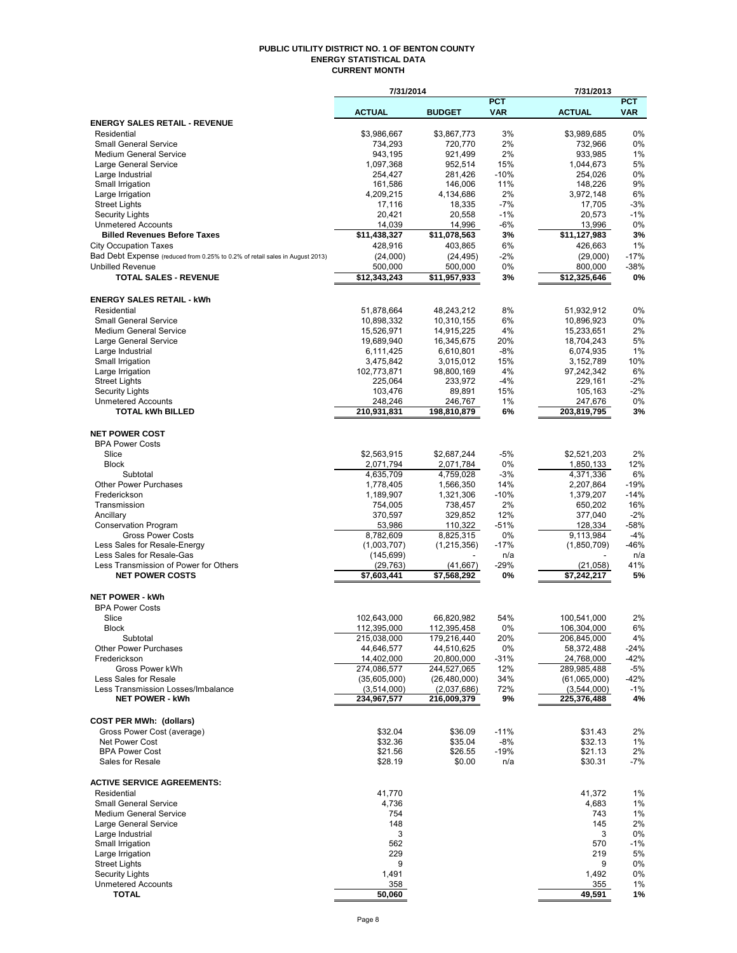#### **PUBLIC UTILITY DISTRICT NO. 1 OF BENTON COUNTY ENERGY STATISTICAL DATA CURRENT MONTH**

|                                                                              | 7/31/2014                  |                            |              | 7/31/2013                  |              |  |
|------------------------------------------------------------------------------|----------------------------|----------------------------|--------------|----------------------------|--------------|--|
|                                                                              |                            |                            | <b>PCT</b>   |                            | <b>PCT</b>   |  |
|                                                                              | <b>ACTUAL</b>              | <b>BUDGET</b>              | <b>VAR</b>   | <b>ACTUAL</b>              | <b>VAR</b>   |  |
| <b>ENERGY SALES RETAIL - REVENUE</b><br>Residential                          | \$3,986,667                | \$3,867,773                | 3%           | \$3,989,685                | 0%           |  |
| <b>Small General Service</b>                                                 | 734,293                    | 720,770                    | 2%           | 732,966                    | 0%           |  |
| <b>Medium General Service</b>                                                | 943,195                    | 921,499                    | 2%           | 933,985                    | 1%           |  |
| Large General Service                                                        | 1,097,368                  | 952,514                    | 15%          | 1,044,673                  | 5%           |  |
| Large Industrial                                                             | 254,427                    | 281,426                    | $-10%$       | 254,026                    | 0%           |  |
| Small Irrigation                                                             | 161,586                    | 146,006                    | 11%          | 148,226                    | 9%           |  |
| Large Irrigation                                                             | 4,209,215                  | 4,134,686                  | 2%           | 3,972,148                  | 6%           |  |
| <b>Street Lights</b>                                                         | 17,116                     | 18,335                     | $-7%$        | 17,705                     | $-3%$        |  |
| <b>Security Lights</b>                                                       | 20,421                     | 20,558                     | $-1%$        | 20,573                     | $-1%$        |  |
| <b>Unmetered Accounts</b>                                                    | 14,039                     | 14,996                     | $-6%$        | 13,996                     | 0%           |  |
| <b>Billed Revenues Before Taxes</b>                                          | \$11,438,327               | \$11,078,563               | 3%           | \$11,127,983               | 3%           |  |
| <b>City Occupation Taxes</b>                                                 | 428,916                    | 403,865                    | 6%           | 426,663                    | 1%           |  |
| Bad Debt Expense (reduced from 0.25% to 0.2% of retail sales in August 2013) | (24,000)                   | (24, 495)                  | $-2%$        | (29,000)                   | $-17%$       |  |
| <b>Unbilled Revenue</b>                                                      | 500,000                    | 500,000                    | 0%           | 800,000                    | $-38%$       |  |
| <b>TOTAL SALES - REVENUE</b>                                                 | \$12,343,243               | \$11,957,933               | 3%           | \$12,325,646               | 0%           |  |
|                                                                              |                            |                            |              |                            |              |  |
| <b>ENERGY SALES RETAIL - kWh</b><br>Residential                              |                            |                            | 8%           |                            | 0%           |  |
| <b>Small General Service</b>                                                 | 51,878,664<br>10,898,332   | 48,243,212                 | 6%           | 51,932,912<br>10,896,923   | 0%           |  |
| <b>Medium General Service</b>                                                | 15,526,971                 | 10,310,155<br>14,915,225   | 4%           | 15,233,651                 | 2%           |  |
| Large General Service                                                        | 19,689,940                 | 16,345,675                 | 20%          | 18,704,243                 | 5%           |  |
| Large Industrial                                                             | 6,111,425                  | 6,610,801                  | $-8%$        | 6,074,935                  | 1%           |  |
| Small Irrigation                                                             | 3,475,842                  | 3,015,012                  | 15%          | 3,152,789                  | 10%          |  |
| Large Irrigation                                                             | 102,773,871                | 98,800,169                 | 4%           | 97,242,342                 | 6%           |  |
| <b>Street Lights</b>                                                         | 225,064                    | 233,972                    | $-4%$        | 229,161                    | $-2%$        |  |
| Security Lights                                                              | 103,476                    | 89,891                     | 15%          | 105,163                    | $-2%$        |  |
| <b>Unmetered Accounts</b>                                                    | 248,246                    | 246,767                    | 1%           | 247,676                    | 0%           |  |
| <b>TOTAL kWh BILLED</b>                                                      | 210,931,831                | 198,810,879                | 6%           | 203,819,795                | 3%           |  |
|                                                                              |                            |                            |              |                            |              |  |
| <b>NET POWER COST</b>                                                        |                            |                            |              |                            |              |  |
| <b>BPA Power Costs</b>                                                       |                            |                            |              |                            |              |  |
| Slice                                                                        | \$2,563,915                | \$2,687,244                | $-5%$        | \$2,521,203                | 2%           |  |
| <b>Block</b>                                                                 | 2,071,794                  | 2,071,784                  | 0%           | 1,850,133                  | 12%          |  |
| Subtotal<br><b>Other Power Purchases</b>                                     | 4,635,709                  | 4,759,028                  | $-3%$<br>14% | 4,371,336<br>2,207,864     | 6%<br>$-19%$ |  |
| Frederickson                                                                 | 1,778,405<br>1,189,907     | 1,566,350<br>1,321,306     | $-10%$       | 1,379,207                  | $-14%$       |  |
| Transmission                                                                 | 754,005                    | 738,457                    | 2%           | 650,202                    | 16%          |  |
| Ancillary                                                                    | 370,597                    | 329,852                    | 12%          | 377,040                    | $-2%$        |  |
| <b>Conservation Program</b>                                                  | 53,986                     | 110,322                    | $-51%$       | 128,334                    | $-58%$       |  |
| <b>Gross Power Costs</b>                                                     | 8,782,609                  | 8,825,315                  | 0%           | 9,113,984                  | $-4%$        |  |
| Less Sales for Resale-Energy                                                 | (1,003,707)                | (1, 215, 356)              | $-17%$       | (1,850,709)                | $-46%$       |  |
| Less Sales for Resale-Gas                                                    | (145, 699)                 |                            | n/a          |                            | n/a          |  |
| Less Transmission of Power for Others                                        | (29, 763)                  | (41, 667)                  | -29%         | (21, 058)                  | 41%          |  |
| <b>NET POWER COSTS</b>                                                       | \$7,603,441                | \$7,568,292                | 0%           | \$7,242,217                | 5%           |  |
|                                                                              |                            |                            |              |                            |              |  |
| <b>NET POWER - kWh</b>                                                       |                            |                            |              |                            |              |  |
| <b>BPA Power Costs</b>                                                       |                            |                            |              |                            |              |  |
| Slice                                                                        | 102,643,000                | 66,820,982                 | 54%          | 100,541,000                | 2%           |  |
| <b>Block</b><br>Subtotal                                                     | 112,395,000<br>215,038,000 | 112,395,458<br>179,216,440 | 0%<br>20%    | 106,304,000<br>206,845,000 | 6%<br>4%     |  |
| <b>Other Power Purchases</b>                                                 | 44,646,577                 | 44,510,625                 | 0%           | 58,372,488                 | -24%         |  |
| Frederickson                                                                 | 14,402,000                 | 20,800,000                 | -31%         | 24,768,000                 | $-42%$       |  |
| Gross Power kWh                                                              | 274,086,577                | 244,527,065                | 12%          | 289,985,488                | $-5%$        |  |
| Less Sales for Resale                                                        | (35,605,000)               | (26, 480, 000)             | 34%          | (61,065,000)               | -42%         |  |
| Less Transmission Losses/Imbalance                                           | (3,514,000)                | (2,037,686)                | 72%          | (3,544,000)                | $-1%$        |  |
| <b>NET POWER - kWh</b>                                                       | 234,967,577                | 216,009,379                | 9%           | 225,376,488                | 4%           |  |
|                                                                              |                            |                            |              |                            |              |  |
| <b>COST PER MWh: (dollars)</b>                                               |                            |                            |              |                            |              |  |
| Gross Power Cost (average)                                                   | \$32.04                    | \$36.09                    | $-11%$       | \$31.43                    | 2%           |  |
| Net Power Cost                                                               | \$32.36                    | \$35.04                    | $-8%$        | \$32.13                    | 1%           |  |
| <b>BPA Power Cost</b>                                                        | \$21.56                    | \$26.55                    | $-19%$       | \$21.13                    | 2%           |  |
| Sales for Resale                                                             | \$28.19                    | \$0.00                     | n/a          | \$30.31                    | -7%          |  |
|                                                                              |                            |                            |              |                            |              |  |
| <b>ACTIVE SERVICE AGREEMENTS:</b>                                            |                            |                            |              |                            |              |  |
| Residential<br><b>Small General Service</b>                                  | 41,770                     |                            |              | 41,372<br>4,683            | 1%           |  |
| <b>Medium General Service</b>                                                | 4,736<br>754               |                            |              | 743                        | $1\%$<br>1%  |  |
| Large General Service                                                        | 148                        |                            |              | 145                        | 2%           |  |
| Large Industrial                                                             | 3                          |                            |              | 3                          | 0%           |  |
| Small Irrigation                                                             | 562                        |                            |              | 570                        | $-1%$        |  |
| Large Irrigation                                                             | 229                        |                            |              | 219                        | 5%           |  |
| <b>Street Lights</b>                                                         | 9                          |                            |              | 9                          | 0%           |  |
| <b>Security Lights</b>                                                       | 1,491                      |                            |              | 1,492                      | 0%           |  |
| <b>Unmetered Accounts</b>                                                    | 358                        |                            |              | 355                        | 1%           |  |
| <b>TOTAL</b>                                                                 | 50,060                     |                            |              | 49,591                     | 1%           |  |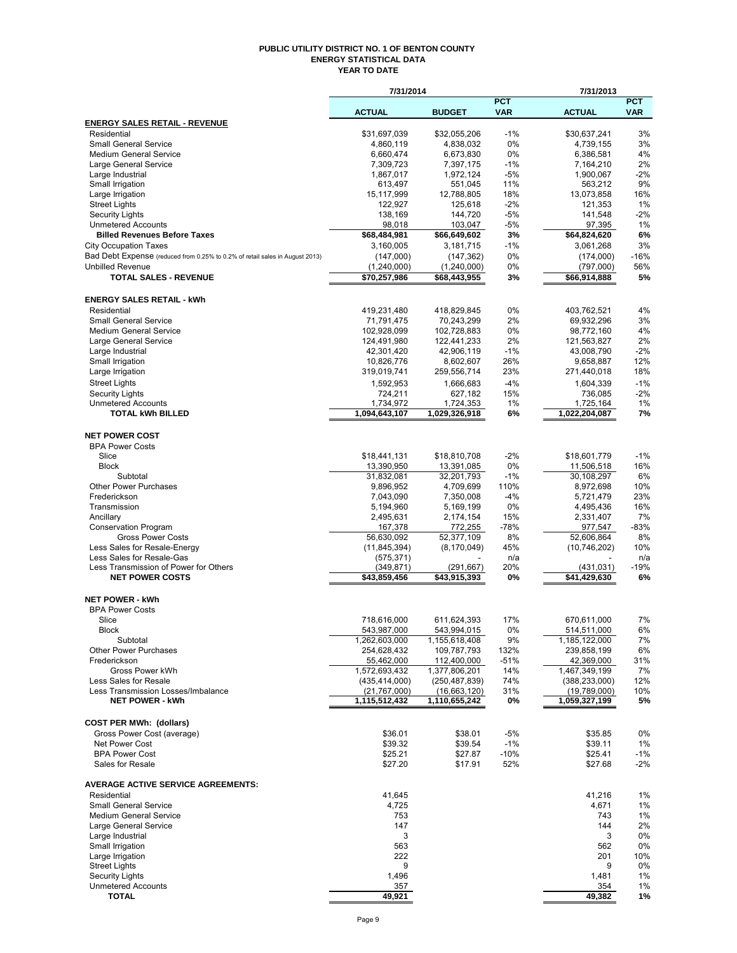#### **PUBLIC UTILITY DISTRICT NO. 1 OF BENTON COUNTY ENERGY STATISTICAL DATA YEAR TO DATE**

|                                                                              | 7/31/2014                     |                                       |                          | 7/31/2013                     |                          |
|------------------------------------------------------------------------------|-------------------------------|---------------------------------------|--------------------------|-------------------------------|--------------------------|
|                                                                              | <b>ACTUAL</b>                 | <b>BUDGET</b>                         | <b>PCT</b><br><b>VAR</b> | <b>ACTUAL</b>                 | <b>PCT</b><br><b>VAR</b> |
| <b>ENERGY SALES RETAIL - REVENUE</b>                                         |                               |                                       |                          |                               |                          |
| Residential                                                                  | \$31,697,039                  | \$32,055,206                          | $-1%$                    | \$30,637,241                  | 3%                       |
| <b>Small General Service</b>                                                 | 4,860,119                     | 4,838,032                             | 0%                       | 4,739,155                     | 3%                       |
| <b>Medium General Service</b><br>Large General Service                       | 6,660,474<br>7,309,723        | 6,673,830<br>7,397,175                | 0%<br>$-1%$              | 6,386,581<br>7,164,210        | 4%<br>2%                 |
| Large Industrial                                                             | 1,867,017                     | 1,972,124                             | $-5%$                    | 1,900,067                     | $-2%$                    |
| Small Irrigation                                                             | 613,497                       | 551,045                               | 11%                      | 563,212                       | 9%                       |
| Large Irrigation                                                             | 15,117,999                    | 12,788,805                            | 18%                      | 13,073,858                    | 16%                      |
| <b>Street Lights</b>                                                         | 122,927                       | 125,618                               | $-2%$                    | 121,353                       | 1%                       |
| <b>Security Lights</b><br><b>Unmetered Accounts</b>                          | 138,169<br>98,018             | 144,720<br>103,047                    | $-5%$<br>$-5%$           | 141,548<br>97,395             | $-2%$<br>1%              |
| <b>Billed Revenues Before Taxes</b>                                          | \$68,484,981                  | \$66,649,602                          | 3%                       | \$64,824,620                  | 6%                       |
| <b>City Occupation Taxes</b>                                                 | 3.160.005                     | 3,181,715                             | $-1%$                    | 3.061,268                     | 3%                       |
| Bad Debt Expense (reduced from 0.25% to 0.2% of retail sales in August 2013) | (147,000)                     | (147, 362)                            | 0%                       | (174,000)                     | $-16%$                   |
| <b>Unbilled Revenue</b>                                                      | (1, 240, 000)                 | (1,240,000)                           | 0%                       | (797,000)                     | 56%                      |
| <b>TOTAL SALES - REVENUE</b>                                                 | \$70,257,986                  | \$68,443,955                          | 3%                       | \$66,914,888                  | 5%                       |
| <b>ENERGY SALES RETAIL - kWh</b>                                             |                               |                                       |                          |                               |                          |
| Residential                                                                  | 419,231,480                   | 418,829,845                           | 0%                       | 403,762,521                   | 4%                       |
| <b>Small General Service</b>                                                 | 71,791,475                    | 70,243,299                            | 2%                       | 69,932,296                    | 3%                       |
| <b>Medium General Service</b>                                                | 102,928,099                   | 102,728,883                           | $0\%$                    | 98,772,160                    | 4%                       |
| Large General Service                                                        | 124,491,980                   | 122,441,233                           | 2%                       | 121,563,827                   | 2%                       |
| Large Industrial<br>Small Irrigation                                         | 42,301,420<br>10,826,776      | 42,906,119<br>8,602,607               | $-1%$<br>26%             | 43,008,790<br>9,658,887       | $-2%$<br>12%             |
| Large Irrigation                                                             | 319,019,741                   | 259,556,714                           | 23%                      | 271,440,018                   | 18%                      |
| <b>Street Lights</b>                                                         | 1,592,953                     | 1,666,683                             | $-4%$                    | 1,604,339                     | $-1%$                    |
| <b>Security Lights</b>                                                       | 724,211                       | 627,182                               | 15%                      | 736,085                       | $-2%$                    |
| <b>Unmetered Accounts</b>                                                    | 1,734,972                     | 1,724,353                             | $1\%$                    | 1,725,164                     | 1%                       |
| <b>TOTAL kWh BILLED</b>                                                      | 1,094,643,107                 | 1,029,326,918                         | 6%                       | 1,022,204,087                 | 7%                       |
| <b>NET POWER COST</b>                                                        |                               |                                       |                          |                               |                          |
| <b>BPA Power Costs</b>                                                       |                               |                                       |                          |                               |                          |
| Slice                                                                        | \$18,441,131                  | \$18,810,708                          | $-2%$                    | \$18,601,779                  | $-1%$                    |
| <b>Block</b>                                                                 | 13,390,950                    | 13,391,085                            | 0%                       | 11,506,518                    | 16%                      |
| Subtotal                                                                     | 31,832,081                    | 32,201,793                            | $-1%$                    | 30,108,297                    | 6%                       |
| <b>Other Power Purchases</b><br>Frederickson                                 | 9,896,952                     | 4,709,699                             | 110%<br>$-4%$            | 8,972,698                     | 10%<br>23%               |
| Transmission                                                                 | 7,043,090<br>5,194,960        | 7,350,008<br>5,169,199                | 0%                       | 5,721,479<br>4,495,436        | 16%                      |
| Ancillary                                                                    | 2,495,631                     | 2,174,154                             | 15%                      | 2,331,407                     | 7%                       |
| <b>Conservation Program</b>                                                  | 167,378                       | 772,255                               | $-78%$                   | 977,547                       | $-83%$                   |
| <b>Gross Power Costs</b>                                                     | 56,630,092                    | 52,377,109                            | 8%                       | 52,606,864                    | 8%                       |
| Less Sales for Resale-Energy                                                 | (11, 845, 394)                | (8, 170, 049)                         | 45%                      | (10,746,202)                  | 10%                      |
| Less Sales for Resale-Gas                                                    | (575, 371)                    |                                       | n/a                      |                               | n/a                      |
| Less Transmission of Power for Others<br><b>NET POWER COSTS</b>              | (349, 871)<br>\$43,859,456    | (291, 667)<br>$\overline{43,915,393}$ | 20%<br>0%                | (431, 031)<br>\$41,429,630    | $-19%$<br>6%             |
|                                                                              |                               |                                       |                          |                               |                          |
| <b>NET POWER - kWh</b>                                                       |                               |                                       |                          |                               |                          |
| <b>BPA Power Costs</b><br>Slice                                              | 718.616.000                   | 611,624,393                           | 17%                      | 670.611.000                   | 7%                       |
| Block                                                                        | 543,987,000                   | 543,994,015                           | 0%                       | 514,511,000                   | 6%                       |
| Subtotal                                                                     | 1,262,603,000                 | 1,155,618,408                         | 9%                       | 1,185,122,000                 | 7%                       |
| <b>Other Power Purchases</b>                                                 | 254,628,432                   | 109,787,793                           | 132%                     | 239,858,199                   | 6%                       |
| Frederickson                                                                 | 55,462,000                    | 112,400,000                           | $-51%$                   | 42,369,000                    | 31%                      |
| Gross Power kWh                                                              | 1.572.693.432                 | 1,377,806,201                         | 14%                      | 1,467,349,199                 | 7%                       |
| Less Sales for Resale                                                        | (435, 414, 000)               | (250, 487, 839)                       | 74%                      | (388, 233, 000)               | 12%                      |
| Less Transmission Losses/Imbalance<br><b>NET POWER - kWh</b>                 | (21,767,000)<br>1,115,512,432 | (16,663,120)<br>1,110,655,242         | 31%<br>0%                | (19,789,000)<br>1,059,327,199 | 10%<br>5%                |
|                                                                              |                               |                                       |                          |                               |                          |
| <b>COST PER MWh: (dollars)</b>                                               |                               |                                       |                          |                               |                          |
| Gross Power Cost (average)<br>Net Power Cost                                 | \$36.01<br>\$39.32            | \$38.01<br>\$39.54                    | $-5%$<br>$-1%$           | \$35.85<br>\$39.11            | 0%<br>1%                 |
| <b>BPA Power Cost</b>                                                        | \$25.21                       | \$27.87                               | $-10%$                   | \$25.41                       | $-1%$                    |
| Sales for Resale                                                             | \$27.20                       | \$17.91                               | 52%                      | \$27.68                       | -2%                      |
| <b>AVERAGE ACTIVE SERVICE AGREEMENTS:</b>                                    |                               |                                       |                          |                               |                          |
| Residential                                                                  | 41,645                        |                                       |                          | 41,216                        | 1%                       |
| <b>Small General Service</b>                                                 | 4,725                         |                                       |                          | 4,671                         | 1%                       |
| <b>Medium General Service</b>                                                | 753                           |                                       |                          | 743                           | 1%                       |
| Large General Service                                                        | 147                           |                                       |                          | 144                           | 2%                       |
| Large Industrial                                                             | 3                             |                                       |                          | 3                             | 0%                       |
| Small Irrigation                                                             | 563                           |                                       |                          | 562                           | 0%                       |
| Large Irrigation<br><b>Street Lights</b>                                     | 222<br>9                      |                                       |                          | 201<br>9                      | 10%<br>0%                |
| <b>Security Lights</b>                                                       | 1,496                         |                                       |                          | 1,481                         | 1%                       |
| <b>Unmetered Accounts</b>                                                    | 357                           |                                       |                          | 354                           | 1%                       |
| <b>TOTAL</b>                                                                 | 49,921                        |                                       |                          | 49,382                        | 1%                       |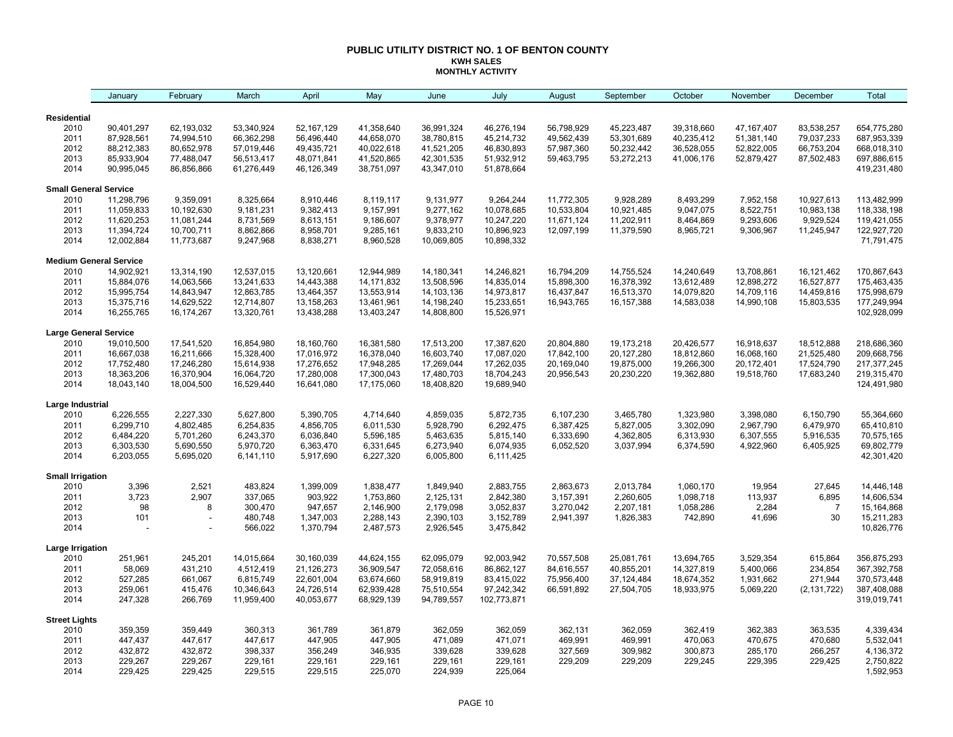#### **PUBLIC UTILITY DISTRICT NO. 1 OF BENTON COUNTY KWH SALES MONTHLY ACTIVITY**

|                               | January    | February   | March      | April      | May          | June       | July        | August     | September    | October    | November     | December       | Total       |
|-------------------------------|------------|------------|------------|------------|--------------|------------|-------------|------------|--------------|------------|--------------|----------------|-------------|
| Residential                   |            |            |            |            |              |            |             |            |              |            |              |                |             |
| 2010                          | 90,401,297 | 62,193,032 | 53,340,924 | 52,167,129 | 41,358,640   | 36,991,324 | 46,276,194  | 56,798,929 | 45,223,487   | 39,318,660 | 47, 167, 407 | 83,538,257     | 654,775,280 |
| 2011                          | 87,928,561 | 74,994,510 | 66,362,298 | 56,496,440 | 44,658,070   | 38,780,815 | 45,214,732  | 49,562,439 | 53,301,689   | 40,235,412 | 51,381,140   | 79,037,233     | 687,953,339 |
| 2012                          | 88,212,383 | 80,652,978 | 57,019,446 | 49,435,721 | 40,022,618   | 41,521,205 | 46,830,893  | 57,987,360 | 50,232,442   | 36,528,055 | 52,822,005   | 66,753,204     | 668,018,310 |
| 2013                          | 85,933,904 | 77,488,047 | 56,513,417 | 48,071,841 | 41,520,865   | 42,301,535 | 51,932,912  | 59,463,795 | 53,272,213   | 41,006,176 | 52,879,427   | 87,502,483     | 697,886,615 |
| 2014                          | 90,995,045 | 86,856,866 | 61,276,449 | 46,126,349 | 38,751,097   | 43,347,010 | 51,878,664  |            |              |            |              |                | 419,231,480 |
| <b>Small General Service</b>  |            |            |            |            |              |            |             |            |              |            |              |                |             |
| 2010                          | 11,298,796 | 9,359,091  | 8,325,664  | 8,910,446  | 8,119,117    | 9,131,977  | 9,264,244   | 11,772,305 | 9,928,289    | 8,493,299  | 7,952,158    | 10,927,613     | 113,482,999 |
| 2011                          | 11,059,833 | 10,192,630 | 9,181,231  | 9,382,413  | 9,157,991    | 9,277,162  | 10,078,685  | 10,533,804 | 10,921,485   | 9,047,075  | 8,522,751    | 10,983,138     | 118,338,198 |
| 2012                          | 11,620,253 | 11,081,244 | 8,731,569  | 8,613,151  | 9,186,607    | 9,378,977  | 10,247,220  | 11,671,124 | 11,202,911   | 8,464,869  | 9,293,606    | 9,929,524      | 119,421,055 |
| 2013                          | 11,394,724 | 10,700,711 | 8,862,866  | 8,958,701  | 9,285,161    | 9,833,210  | 10,896,923  | 12,097,199 | 11,379,590   | 8,965,721  | 9,306,967    | 11,245,947     | 122,927,720 |
| 2014                          | 12,002,884 | 11,773,687 | 9,247,968  | 8,838,271  | 8,960,528    | 10,069,805 | 10,898,332  |            |              |            |              |                | 71,791,475  |
| <b>Medium General Service</b> |            |            |            |            |              |            |             |            |              |            |              |                |             |
| 2010                          | 14,902,921 | 13,314,190 | 12,537,015 | 13,120,661 | 12,944,989   | 14,180,341 | 14,246,821  | 16,794,209 | 14,755,524   | 14,240,649 | 13,708,861   | 16,121,462     | 170,867,643 |
| 2011                          | 15,884,076 | 14,063,566 | 13,241,633 | 14,443,388 | 14, 171, 832 | 13,508,596 | 14,835,014  | 15,898,300 | 16,378,392   | 13,612,489 | 12,898,272   | 16,527,877     | 175,463,435 |
| 2012                          | 15,995,754 | 14,843,947 | 12,863,785 | 13,464,357 | 13,553,914   | 14,103,136 | 14,973,817  | 16,437,847 | 16,513,370   | 14,079,820 | 14,709,116   | 14,459,816     | 175,998,679 |
| 2013                          | 15,375,716 | 14,629,522 | 12,714,807 | 13,158,263 | 13,461,961   | 14,198,240 | 15,233,651  | 16,943,765 | 16, 157, 388 | 14,583,038 | 14,990,108   | 15,803,535     | 177,249,994 |
| 2014                          | 16,255,765 | 16,174,267 | 13,320,761 | 13,438,288 | 13,403,247   | 14,808,800 | 15,526,971  |            |              |            |              |                | 102,928,099 |
| <b>Large General Service</b>  |            |            |            |            |              |            |             |            |              |            |              |                |             |
| 2010                          | 19,010,500 | 17,541,520 | 16,854,980 | 18,160,760 | 16,381,580   | 17,513,200 | 17,387,620  | 20,804,880 | 19,173,218   | 20,426,577 | 16,918,637   | 18,512,888     | 218,686,360 |
| 2011                          | 16,667,038 | 16,211,666 | 15,328,400 | 17,016,972 | 16,378,040   | 16,603,740 | 17,087,020  | 17,842,100 | 20,127,280   | 18,812,860 | 16,068,160   | 21,525,480     | 209,668,756 |
| 2012                          | 17,752,480 | 17,246,280 | 15,614,938 | 17,276,652 | 17,948,285   | 17,269,044 | 17,262,035  | 20,169,040 | 19,875,000   | 19,266,300 | 20,172,401   | 17,524,790     | 217,377,245 |
| 2013                          | 18,363,206 | 16,370,904 | 16,064,720 | 17,280,008 | 17,300,043   | 17,480,703 | 18,704,243  | 20,956,543 | 20,230,220   | 19,362,880 | 19,518,760   | 17,683,240     | 219,315,470 |
| 2014                          | 18,043,140 | 18,004,500 | 16,529,440 | 16,641,080 | 17,175,060   | 18,408,820 | 19,689,940  |            |              |            |              |                | 124,491,980 |
| Large Industrial              |            |            |            |            |              |            |             |            |              |            |              |                |             |
| 2010                          | 6,226,555  | 2,227,330  | 5,627,800  | 5,390,705  | 4,714,640    | 4,859,035  | 5,872,735   | 6,107,230  | 3,465,780    | 1,323,980  | 3,398,080    | 6,150,790      | 55,364,660  |
| 2011                          | 6,299,710  | 4,802,485  | 6,254,835  | 4,856,705  | 6,011,530    | 5,928,790  | 6,292,475   | 6,387,425  | 5,827,005    | 3,302,090  | 2,967,790    | 6,479,970      | 65,410,810  |
| 2012                          | 6,484,220  | 5,701,260  | 6,243,370  | 6,036,840  | 5,596,185    | 5,463,635  | 5,815,140   | 6,333,690  | 4,362,805    | 6,313,930  | 6,307,555    | 5,916,535      | 70,575,165  |
| 2013                          | 6,303,530  | 5,690,550  | 5,970,720  | 6,363,470  | 6,331,645    | 6,273,940  | 6,074,935   | 6,052,520  | 3,037,994    | 6,374,590  | 4,922,960    | 6,405,925      | 69,802,779  |
| 2014                          | 6,203,055  | 5,695,020  | 6,141,110  | 5,917,690  | 6,227,320    | 6,005,800  | 6,111,425   |            |              |            |              |                | 42,301,420  |
| <b>Small Irrigation</b>       |            |            |            |            |              |            |             |            |              |            |              |                |             |
| 2010                          | 3,396      | 2,521      | 483,824    | 1,399,009  | 1,838,477    | 1,849,940  | 2,883,755   | 2,863,673  | 2,013,784    | 1,060,170  | 19,954       | 27,645         | 14,446,148  |
| 2011                          | 3,723      | 2,907      | 337,065    | 903,922    | 1,753,860    | 2,125,131  | 2,842,380   | 3,157,391  | 2,260,605    | 1,098,718  | 113,937      | 6,895          | 14,606,534  |
| 2012                          | 98         | 8          | 300,470    | 947,657    | 2,146,900    | 2,179,098  | 3,052,837   | 3,270,042  | 2,207,181    | 1,058,286  | 2,284        | $\overline{7}$ | 15,164,868  |
| 2013                          | 101        |            | 480,748    | 1,347,003  | 2,288,143    | 2,390,103  | 3,152,789   | 2,941,397  | 1,826,383    | 742,890    | 41,696       | 30             | 15,211,283  |
| 2014                          |            |            | 566,022    | 1,370,794  | 2,487,573    | 2,926,545  | 3,475,842   |            |              |            |              |                | 10,826,776  |
| Large Irrigation              |            |            |            |            |              |            |             |            |              |            |              |                |             |
| 2010                          | 251,961    | 245,201    | 14,015,664 | 30,160,039 | 44,624,155   | 62,095,079 | 92,003,942  | 70,557,508 | 25,081,761   | 13,694,765 | 3,529,354    | 615,864        | 356,875,293 |
| 2011                          | 58,069     | 431,210    | 4,512,419  | 21,126,273 | 36,909,547   | 72,058,616 | 86,862,127  | 84,616,557 | 40,855,201   | 14,327,819 | 5,400,066    | 234,854        | 367,392,758 |
| 2012                          | 527,285    | 661,067    | 6,815,749  | 22,601,004 | 63,674,660   | 58,919,819 | 83,415,022  | 75,956,400 | 37,124,484   | 18,674,352 | 1,931,662    | 271,944        | 370,573,448 |
| 2013                          | 259,061    | 415,476    | 10,346,643 | 24,726,514 | 62,939,428   | 75,510,554 | 97,242,342  | 66,591,892 | 27,504,705   | 18,933,975 | 5,069,220    | (2, 131, 722)  | 387,408,088 |
| 2014                          | 247,328    | 266,769    | 11,959,400 | 40,053,677 | 68,929,139   | 94,789,557 | 102,773,871 |            |              |            |              |                | 319,019,741 |
| <b>Street Lights</b>          |            |            |            |            |              |            |             |            |              |            |              |                |             |
| 2010                          | 359,359    | 359,449    | 360,313    | 361,789    | 361,879      | 362,059    | 362,059     | 362,131    | 362,059      | 362,419    | 362,383      | 363,535        | 4,339,434   |
| 2011                          | 447,437    | 447,617    | 447,617    | 447,905    | 447,905      | 471,089    | 471,071     | 469,991    | 469,991      | 470,063    | 470,675      | 470,680        | 5,532,041   |
| 2012                          | 432,872    | 432,872    | 398,337    | 356,249    | 346,935      | 339,628    | 339,628     | 327,569    | 309,982      | 300,873    | 285,170      | 266,257        | 4,136,372   |
| 2013                          | 229,267    | 229,267    | 229,161    | 229,161    | 229,161      | 229,161    | 229,161     | 229,209    | 229,209      | 229,245    | 229,395      | 229,425        | 2,750,822   |
| 2014                          | 229,425    | 229,425    | 229,515    | 229,515    | 225,070      | 224,939    | 225,064     |            |              |            |              |                | 1,592,953   |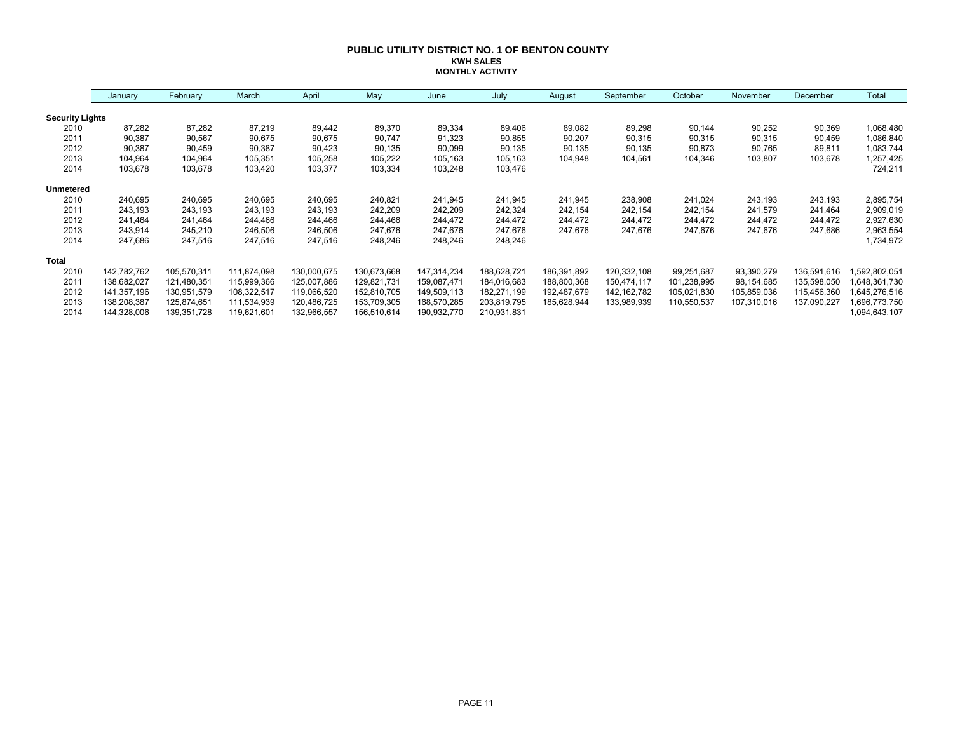#### **PUBLIC UTILITY DISTRICT NO. 1 OF BENTON COUNTY KWH SALES MONTHLY ACTIVITY**

|                        | January     | February    | March       | April       | May         | June        | July        | August      | September     | October     | November    | December    | Total         |
|------------------------|-------------|-------------|-------------|-------------|-------------|-------------|-------------|-------------|---------------|-------------|-------------|-------------|---------------|
| <b>Security Lights</b> |             |             |             |             |             |             |             |             |               |             |             |             |               |
| 2010                   | 87,282      | 87,282      | 87,219      | 89,442      | 89,370      | 89,334      | 89,406      | 89,082      | 89,298        | 90,144      | 90,252      | 90,369      | 1,068,480     |
| 2011                   | 90,387      | 90,567      | 90,675      | 90,675      | 90,747      | 91,323      | 90,855      | 90,207      | 90,315        | 90,315      | 90,315      | 90,459      | 1,086,840     |
| 2012                   | 90,387      | 90,459      | 90,387      | 90,423      | 90,135      | 90,099      | 90,135      | 90,135      | 90,135        | 90,873      | 90,765      | 89,811      | 1,083,744     |
| 2013                   | 104,964     | 104,964     | 105,351     | 105,258     | 105,222     | 105,163     | 105,163     | 104,948     | 104,561       | 104,346     | 103,807     | 103,678     | 1,257,425     |
| 2014                   | 103,678     | 103,678     | 103,420     | 103,377     | 103,334     | 103,248     | 103,476     |             |               |             |             |             | 724,211       |
| Unmetered              |             |             |             |             |             |             |             |             |               |             |             |             |               |
| 2010                   | 240,695     | 240,695     | 240,695     | 240,695     | 240,821     | 241,945     | 241,945     | 241,945     | 238,908       | 241,024     | 243,193     | 243,193     | 2,895,754     |
| 2011                   | 243,193     | 243,193     | 243,193     | 243,193     | 242,209     | 242,209     | 242,324     | 242,154     | 242,154       | 242,154     | 241,579     | 241,464     | 2,909,019     |
| 2012                   | 241,464     | 241,464     | 244,466     | 244,466     | 244,466     | 244,472     | 244,472     | 244,472     | 244,472       | 244,472     | 244,472     | 244,472     | 2,927,630     |
| 2013                   | 243,914     | 245,210     | 246,506     | 246,506     | 247,676     | 247,676     | 247,676     | 247,676     | 247,676       | 247,676     | 247,676     | 247,686     | 2,963,554     |
| 2014                   | 247,686     | 247,516     | 247,516     | 247,516     | 248,246     | 248,246     | 248,246     |             |               |             |             |             | 1,734,972     |
| <b>Total</b>           |             |             |             |             |             |             |             |             |               |             |             |             |               |
| 2010                   | 142,782,762 | 105,570,311 | 111,874,098 | 130,000,675 | 130,673,668 | 147,314,234 | 188,628,721 | 186,391,892 | 120,332,108   | 99,251,687  | 93,390,279  | 136,591,616 | ,592,802,051  |
| 2011                   | 138,682,027 | 121,480,351 | 115,999,366 | 125,007,886 | 129,821,731 | 159,087,471 | 184,016,683 | 188,800,368 | 150,474,117   | 101,238,995 | 98,154,685  | 135,598,050 | 648,361,730   |
| 2012                   | 141,357,196 | 130,951,579 | 108,322,517 | 119,066,520 | 152,810,705 | 149,509,113 | 182,271,199 | 192,487,679 | 142, 162, 782 | 105,021,830 | 105,859,036 | 115,456,360 | 645,276,516   |
| 2013                   | 138,208,387 | 125,874,651 | 111,534,939 | 120,486,725 | 153,709,305 | 168,570,285 | 203,819,795 | 185,628,944 | 133,989,939   | 110,550,537 | 107,310,016 | 137,090,227 | 696,773,750   |
| 2014                   | 144,328,006 | 139,351,728 | 119,621,601 | 132,966,557 | 156,510,614 | 190,932,770 | 210,931,831 |             |               |             |             |             | 1,094,643,107 |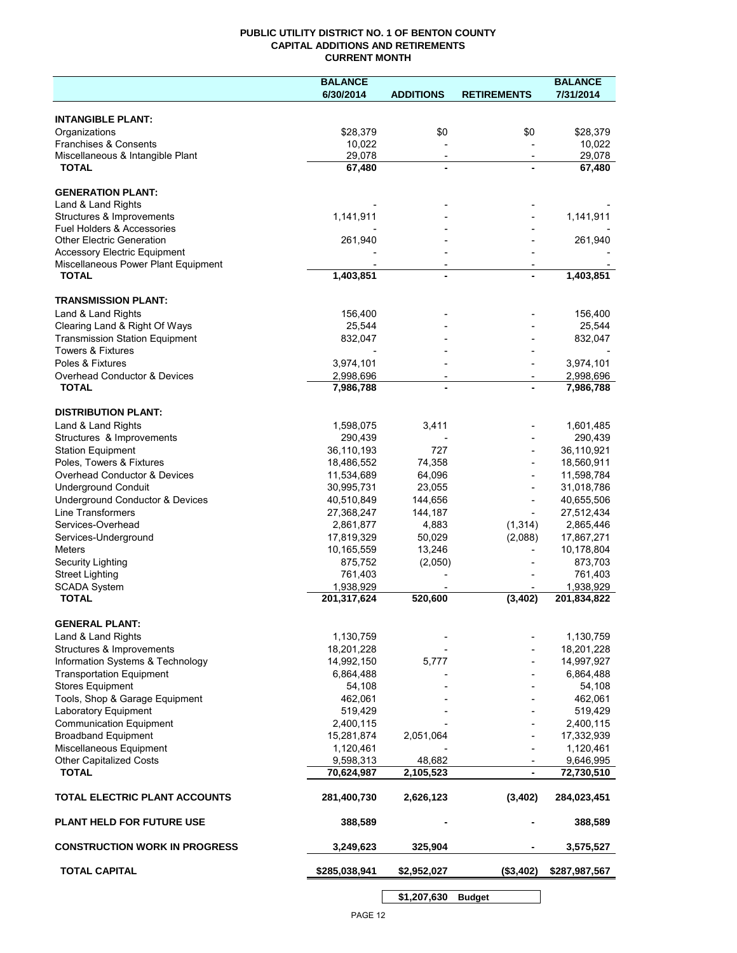## **PUBLIC UTILITY DISTRICT NO. 1 OF BENTON COUNTY CAPITAL ADDITIONS AND RETIREMENTS CURRENT MONTH**

|                                                 | <b>BALANCE</b>          |                          |                          | <b>BALANCE</b>          |
|-------------------------------------------------|-------------------------|--------------------------|--------------------------|-------------------------|
|                                                 | 6/30/2014               | <b>ADDITIONS</b>         | <b>RETIREMENTS</b>       | 7/31/2014               |
| <b>INTANGIBLE PLANT:</b>                        |                         |                          |                          |                         |
| Organizations                                   | \$28,379                | \$0                      | \$0                      | \$28,379                |
| Franchises & Consents                           | 10,022                  |                          |                          | 10,022                  |
| Miscellaneous & Intangible Plant                | 29,078                  | $\overline{\phantom{a}}$ | $\overline{\phantom{a}}$ | 29,078                  |
| <b>TOTAL</b>                                    | 67,480                  | $\blacksquare$           |                          | 67,480                  |
|                                                 |                         |                          |                          |                         |
| <b>GENERATION PLANT:</b><br>Land & Land Rights  |                         |                          |                          |                         |
| Structures & Improvements                       | 1,141,911               |                          |                          | 1,141,911               |
| <b>Fuel Holders &amp; Accessories</b>           |                         |                          |                          |                         |
| <b>Other Electric Generation</b>                | 261,940                 |                          |                          | 261,940                 |
| <b>Accessory Electric Equipment</b>             |                         |                          |                          |                         |
| Miscellaneous Power Plant Equipment             |                         | $\overline{\phantom{a}}$ |                          |                         |
| <b>TOTAL</b>                                    | 1,403,851               | $\blacksquare$           |                          | $\overline{1,}403,851$  |
| <b>TRANSMISSION PLANT:</b>                      |                         |                          |                          |                         |
| Land & Land Rights                              | 156,400                 |                          |                          | 156,400                 |
| Clearing Land & Right Of Ways                   | 25,544                  |                          |                          | 25,544                  |
| <b>Transmission Station Equipment</b>           | 832,047                 |                          |                          | 832,047                 |
| <b>Towers &amp; Fixtures</b>                    |                         |                          |                          |                         |
| Poles & Fixtures                                | 3,974,101               |                          |                          | 3,974,101               |
| Overhead Conductor & Devices                    | 2,998,696               |                          |                          | 2,998,696               |
| <b>TOTAL</b>                                    | 7,986,788               |                          |                          | 7,986,788               |
| <b>DISTRIBUTION PLANT:</b>                      |                         |                          |                          |                         |
| Land & Land Rights                              | 1,598,075               | 3,411                    |                          | 1,601,485               |
| Structures & Improvements                       | 290,439                 |                          |                          | 290,439                 |
| <b>Station Equipment</b>                        | 36,110,193              | 727                      |                          | 36,110,921              |
| Poles, Towers & Fixtures                        | 18,486,552              | 74,358                   |                          | 18,560,911              |
| Overhead Conductor & Devices                    | 11,534,689              | 64,096                   |                          | 11,598,784              |
| <b>Underground Conduit</b>                      | 30,995,731              | 23,055                   |                          | 31,018,786              |
| Underground Conductor & Devices                 | 40,510,849              | 144,656                  |                          | 40,655,506              |
| <b>Line Transformers</b>                        | 27,368,247              | 144,187                  |                          | 27,512,434              |
| Services-Overhead                               | 2,861,877               | 4,883                    | (1, 314)                 | 2,865,446               |
| Services-Underground                            | 17,819,329              | 50,029                   | (2,088)                  | 17,867,271              |
| Meters                                          | 10,165,559<br>875,752   | 13,246                   |                          | 10,178,804<br>873,703   |
| Security Lighting<br><b>Street Lighting</b>     | 761,403                 | (2,050)                  |                          | 761,403                 |
| <b>SCADA System</b>                             | 1,938,929               |                          |                          | 1,938,929               |
| <b>TOTAL</b>                                    | 201,317,624             | 520,600                  | (3, 402)                 | 201,834,822             |
|                                                 |                         |                          |                          |                         |
| <b>GENERAL PLANT:</b>                           |                         |                          |                          |                         |
| Land & Land Rights<br>Structures & Improvements | 1,130,759<br>18,201,228 |                          |                          | 1,130,759<br>18,201,228 |
| Information Systems & Technology                | 14,992,150              | 5,777                    |                          | 14,997,927              |
| <b>Transportation Equipment</b>                 | 6,864,488               |                          |                          | 6,864,488               |
| <b>Stores Equipment</b>                         | 54,108                  |                          |                          | 54,108                  |
| Tools, Shop & Garage Equipment                  | 462,061                 |                          |                          | 462,061                 |
| Laboratory Equipment                            | 519,429                 |                          |                          | 519,429                 |
| <b>Communication Equipment</b>                  | 2,400,115               |                          |                          | 2,400,115               |
| <b>Broadband Equipment</b>                      | 15,281,874              | 2,051,064                |                          | 17,332,939              |
| Miscellaneous Equipment                         | 1,120,461               |                          |                          | 1,120,461               |
| <b>Other Capitalized Costs</b>                  | 9,598,313               | 48,682                   |                          | 9,646,995               |
| <b>TOTAL</b>                                    | 70,624,987              | 2,105,523                | $\overline{\phantom{a}}$ | 72,730,510              |
| TOTAL ELECTRIC PLANT ACCOUNTS                   | 281,400,730             | 2,626,123                | (3,402)                  | 284,023,451             |
| <b>PLANT HELD FOR FUTURE USE</b>                | 388,589                 |                          |                          | 388,589                 |
| <b>CONSTRUCTION WORK IN PROGRESS</b>            | 3,249,623               | 325,904                  |                          | 3,575,527               |
| <b>TOTAL CAPITAL</b>                            | \$285,038,941           | \$2,952,027              | (\$3,402)                | \$287,987,567           |
|                                                 |                         | \$1,207,630              | <b>Budget</b>            |                         |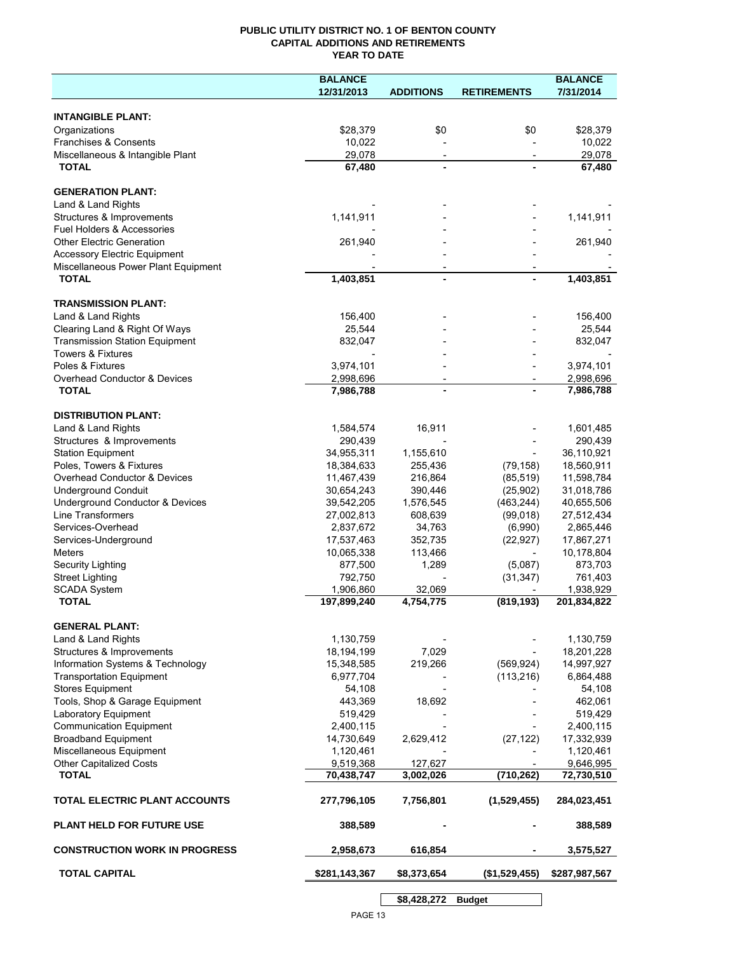## **PUBLIC UTILITY DISTRICT NO. 1 OF BENTON COUNTY CAPITAL ADDITIONS AND RETIREMENTS YEAR TO DATE**

|                                                 | <b>BALANCE</b>        |                          |                          | <b>BALANCE</b>        |
|-------------------------------------------------|-----------------------|--------------------------|--------------------------|-----------------------|
|                                                 | 12/31/2013            | <b>ADDITIONS</b>         | <b>RETIREMENTS</b>       | 7/31/2014             |
|                                                 |                       |                          |                          |                       |
| <b>INTANGIBLE PLANT:</b>                        |                       |                          |                          |                       |
| Organizations                                   | \$28,379              | \$0                      | \$0                      | \$28,379              |
| Franchises & Consents                           | 10,022                |                          |                          | 10,022                |
| Miscellaneous & Intangible Plant                | 29,078                | $\overline{\phantom{a}}$ | $\overline{\phantom{a}}$ | 29,078                |
| <b>TOTAL</b>                                    | 67,480                |                          |                          | 67,480                |
| <b>GENERATION PLANT:</b>                        |                       |                          |                          |                       |
|                                                 |                       |                          |                          |                       |
| Land & Land Rights<br>Structures & Improvements | 1,141,911             |                          |                          | 1,141,911             |
| Fuel Holders & Accessories                      |                       |                          |                          |                       |
| <b>Other Electric Generation</b>                | 261,940               |                          |                          | 261,940               |
| <b>Accessory Electric Equipment</b>             |                       |                          |                          |                       |
| Miscellaneous Power Plant Equipment             |                       |                          |                          |                       |
| <b>TOTAL</b>                                    | 1,403,851             |                          |                          | 1,403,851             |
|                                                 |                       |                          |                          |                       |
| <b>TRANSMISSION PLANT:</b>                      |                       |                          |                          |                       |
| Land & Land Rights                              | 156,400               |                          |                          | 156,400               |
| Clearing Land & Right Of Ways                   | 25,544                |                          |                          | 25,544                |
| <b>Transmission Station Equipment</b>           | 832,047               |                          |                          | 832,047               |
| <b>Towers &amp; Fixtures</b>                    |                       |                          |                          |                       |
| Poles & Fixtures                                | 3,974,101             |                          |                          | 3,974,101             |
| Overhead Conductor & Devices                    | 2,998,696             |                          |                          | 2,998,696             |
| <b>TOTAL</b>                                    | 7,986,788             |                          |                          | 7,986,788             |
|                                                 |                       |                          |                          |                       |
| <b>DISTRIBUTION PLANT:</b>                      |                       |                          |                          |                       |
| Land & Land Rights                              | 1,584,574             | 16,911                   |                          | 1,601,485             |
| Structures & Improvements                       | 290,439               |                          |                          | 290,439               |
| <b>Station Equipment</b>                        | 34,955,311            | 1,155,610                |                          | 36,110,921            |
| Poles, Towers & Fixtures                        | 18,384,633            | 255,436                  | (79, 158)                | 18,560,911            |
| Overhead Conductor & Devices                    | 11,467,439            | 216,864                  | (85, 519)                | 11,598,784            |
| <b>Underground Conduit</b>                      | 30,654,243            | 390,446                  | (25,902)                 | 31,018,786            |
| Underground Conductor & Devices                 | 39,542,205            | 1,576,545                | (463, 244)               | 40,655,506            |
| Line Transformers                               | 27,002,813            | 608,639                  | (99,018)                 | 27,512,434            |
| Services-Overhead                               | 2,837,672             | 34,763                   | (6,990)                  | 2,865,446             |
| Services-Underground<br><b>Meters</b>           | 17,537,463            | 352,735                  | (22, 927)                | 17,867,271            |
| Security Lighting                               | 10,065,338<br>877,500 | 113,466<br>1,289         | (5,087)                  | 10,178,804<br>873,703 |
| <b>Street Lighting</b>                          | 792,750               |                          | (31, 347)                | 761,403               |
| <b>SCADA System</b>                             | 1,906,860             | 32,069                   |                          | 1,938,929             |
| <b>TOTAL</b>                                    | 197,899,240           | 4,754,775                | (819, 193)               | 201,834,822           |
|                                                 |                       |                          |                          |                       |
| <b>GENERAL PLANT:</b>                           |                       |                          |                          |                       |
| Land & Land Rights                              | 1,130,759             |                          |                          | 1,130,759             |
| Structures & Improvements                       | 18,194,199            | 7,029                    |                          | 18,201,228            |
| Information Systems & Technology                | 15,348,585            | 219,266                  | (569, 924)               | 14,997,927            |
| <b>Transportation Equipment</b>                 | 6,977,704             |                          | (113, 216)               | 6,864,488             |
| <b>Stores Equipment</b>                         | 54,108                |                          |                          | 54,108                |
| Tools, Shop & Garage Equipment                  | 443,369               | 18,692                   |                          | 462,061               |
| Laboratory Equipment                            | 519,429               |                          |                          | 519,429               |
| <b>Communication Equipment</b>                  | 2,400,115             |                          |                          | 2,400,115             |
| <b>Broadband Equipment</b>                      | 14,730,649            | 2,629,412                | (27, 122)                | 17,332,939            |
| Miscellaneous Equipment                         | 1,120,461             |                          |                          | 1,120,461             |
| <b>Other Capitalized Costs</b>                  | 9,519,368             | 127,627                  |                          | 9,646,995             |
| <b>TOTAL</b>                                    | 70,438,747            | 3,002,026                | (710, 262)               | 72,730,510            |
| TOTAL ELECTRIC PLANT ACCOUNTS                   | 277,796,105           | 7,756,801                | (1,529,455)              | 284,023,451           |
| <b>PLANT HELD FOR FUTURE USE</b>                | 388,589               |                          |                          | 388,589               |
| <b>CONSTRUCTION WORK IN PROGRESS</b>            | 2,958,673             | 616,854                  |                          | 3,575,527             |
| <b>TOTAL CAPITAL</b>                            | \$281,143,367         | \$8,373,654              | (\$1,529,455)            | \$287,987,567         |
|                                                 |                       |                          |                          |                       |
|                                                 |                       | \$8,428,272              | <b>Budget</b>            |                       |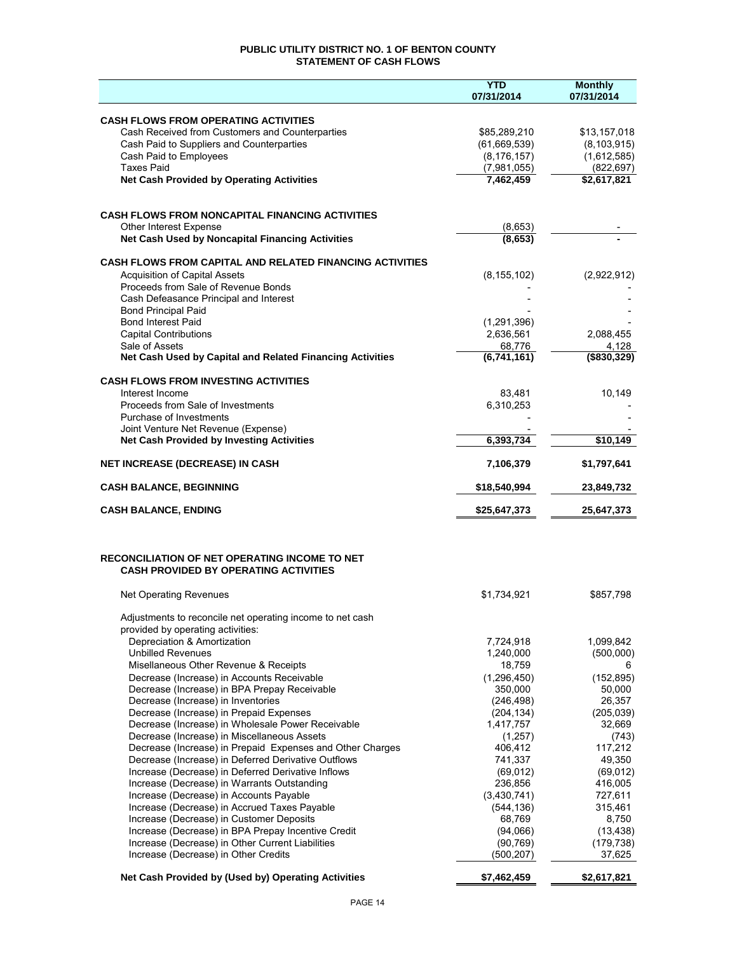## **PUBLIC UTILITY DISTRICT NO. 1 OF BENTON COUNTY STATEMENT OF CASH FLOWS**

|                                                                                                           | <b>YTD</b><br>07/31/2014     | <b>Monthly</b><br>07/31/2014 |
|-----------------------------------------------------------------------------------------------------------|------------------------------|------------------------------|
|                                                                                                           |                              |                              |
| <b>CASH FLOWS FROM OPERATING ACTIVITIES</b>                                                               |                              |                              |
| Cash Received from Customers and Counterparties                                                           | \$85,289,210<br>(61,669,539) | \$13,157,018                 |
| Cash Paid to Suppliers and Counterparties<br>Cash Paid to Employees                                       | (8, 176, 157)                | (8, 103, 915)<br>(1,612,585) |
| <b>Taxes Paid</b>                                                                                         | (7,981,055)                  | (822, 697)                   |
| <b>Net Cash Provided by Operating Activities</b>                                                          | 7,462,459                    | \$2,617,821                  |
|                                                                                                           |                              |                              |
| <b>CASH FLOWS FROM NONCAPITAL FINANCING ACTIVITIES</b>                                                    |                              |                              |
| Other Interest Expense                                                                                    | (8,653)                      |                              |
| Net Cash Used by Noncapital Financing Activities                                                          | (8,653)                      |                              |
| <b>CASH FLOWS FROM CAPITAL AND RELATED FINANCING ACTIVITIES</b>                                           |                              |                              |
| <b>Acquisition of Capital Assets</b>                                                                      | (8, 155, 102)                | (2,922,912)                  |
| Proceeds from Sale of Revenue Bonds                                                                       |                              |                              |
| Cash Defeasance Principal and Interest<br><b>Bond Principal Paid</b>                                      |                              |                              |
| <b>Bond Interest Paid</b>                                                                                 | (1, 291, 396)                |                              |
| <b>Capital Contributions</b>                                                                              | 2,636,561                    | 2,088,455                    |
| Sale of Assets<br>Net Cash Used by Capital and Related Financing Activities                               | 68,776<br>(6,741,161)        | 4,128<br>$($ \$830,329)      |
|                                                                                                           |                              |                              |
| <b>CASH FLOWS FROM INVESTING ACTIVITIES</b>                                                               |                              |                              |
| Interest Income                                                                                           | 83,481                       | 10,149                       |
| Proceeds from Sale of Investments<br>Purchase of Investments                                              | 6,310,253                    |                              |
| Joint Venture Net Revenue (Expense)                                                                       |                              |                              |
| <b>Net Cash Provided by Investing Activities</b>                                                          | 6,393,734                    | \$10,149                     |
| <b>NET INCREASE (DECREASE) IN CASH</b>                                                                    | 7,106,379                    | \$1,797,641                  |
| <b>CASH BALANCE, BEGINNING</b>                                                                            | \$18,540,994                 | 23,849,732                   |
| <b>CASH BALANCE, ENDING</b>                                                                               | \$25,647,373                 | 25,647,373                   |
|                                                                                                           |                              |                              |
|                                                                                                           |                              |                              |
| <b>RECONCILIATION OF NET OPERATING INCOME TO NET</b><br><b>CASH PROVIDED BY OPERATING ACTIVITIES</b>      |                              |                              |
|                                                                                                           |                              |                              |
| Net Operating Revenues                                                                                    | \$1,734,921                  | \$857,798                    |
| Adjustments to reconcile net operating income to net cash                                                 |                              |                              |
| provided by operating activities:                                                                         |                              |                              |
| Depreciation & Amortization                                                                               | 7,724,918                    | 1,099,842                    |
| <b>Unbilled Revenues</b><br>Misellaneous Other Revenue & Receipts                                         | 1,240,000<br>18,759          | (500,000)<br>6               |
| Decrease (Increase) in Accounts Receivable                                                                | (1, 296, 450)                | (152, 895)                   |
| Decrease (Increase) in BPA Prepay Receivable                                                              | 350.000                      | 50,000                       |
| Decrease (Increase) in Inventories                                                                        | (246, 498)                   | 26,357                       |
| Decrease (Increase) in Prepaid Expenses<br>Decrease (Increase) in Wholesale Power Receivable              | (204, 134)<br>1,417,757      | (205, 039)<br>32,669         |
| Decrease (Increase) in Miscellaneous Assets                                                               | (1,257)                      | (743)                        |
| Decrease (Increase) in Prepaid Expenses and Other Charges                                                 | 406,412                      | 117,212                      |
| Decrease (Increase) in Deferred Derivative Outflows<br>Increase (Decrease) in Deferred Derivative Inflows | 741,337<br>(69, 012)         | 49,350<br>(69, 012)          |
| Increase (Decrease) in Warrants Outstanding                                                               | 236,856                      | 416,005                      |
| Increase (Decrease) in Accounts Payable                                                                   | (3,430,741)                  | 727,611                      |
| Increase (Decrease) in Accrued Taxes Payable                                                              | (544, 136)                   | 315,461                      |
| Increase (Decrease) in Customer Deposits<br>Increase (Decrease) in BPA Prepay Incentive Credit            | 68,769<br>(94,066)           | 8,750<br>(13, 438)           |
| Increase (Decrease) in Other Current Liabilities                                                          | (90, 769)                    | (179, 738)                   |
| Increase (Decrease) in Other Credits                                                                      | (500, 207)                   | 37,625                       |
| Net Cash Provided by (Used by) Operating Activities                                                       | \$7,462,459                  | \$2,617,821                  |
|                                                                                                           |                              |                              |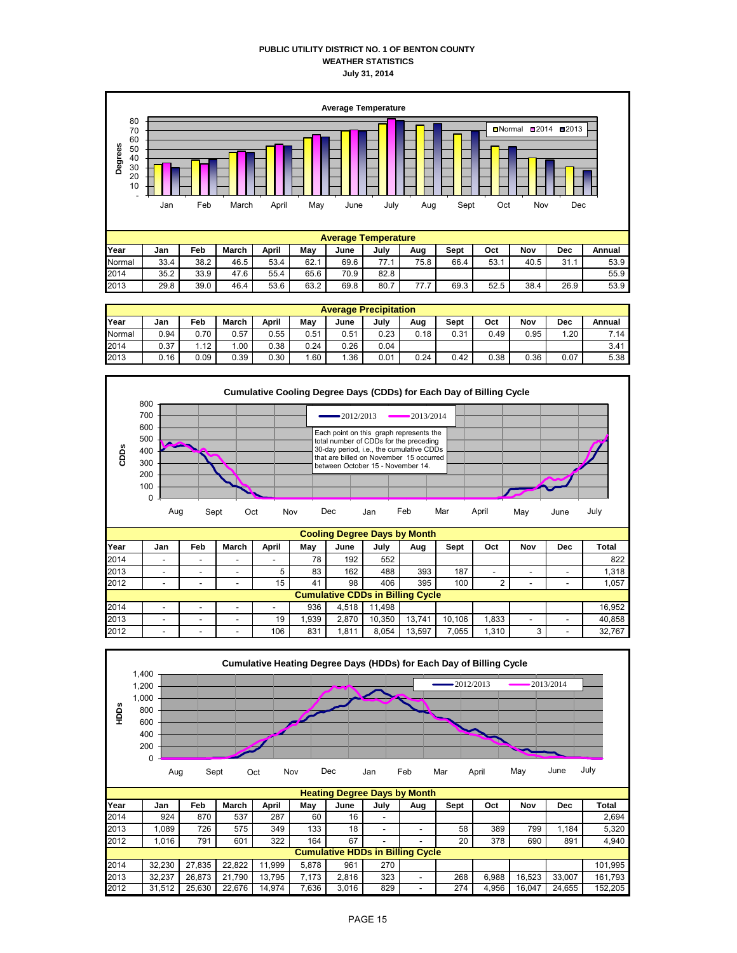### **PUBLIC UTILITY DISTRICT NO. 1 OF BENTON COUNTY WEATHER STATISTICS July 31, 2014**



|        | <b>Average Precipitation</b> |      |              |       |      |      |      |      |      |      |      |      |        |
|--------|------------------------------|------|--------------|-------|------|------|------|------|------|------|------|------|--------|
| Year   | Jan                          | Feb  | <b>March</b> | April | Mav  | June | July | Aug  | Sept | Oct  | Nov  | Dec  | Annual |
| Normal | 0.94                         | 0.70 | 0.57         | 0.55  | 0.51 | 0.51 | 0.23 | 0.18 | 0.31 | 0.49 | 0.95 | .20  | 7.14   |
| 2014   | 0.37                         | 1.12 | .00          | 0.38  | 0.24 | 0.26 | 0.04 |      |      |      |      |      | 3.41   |
| 2013   | 0.16                         | 0.09 | 0.39         | 0.30  | 1.60 | .36  | 0.01 | 0.24 | 0.42 | 0.38 | 0.36 | 0.07 | 5.38   |



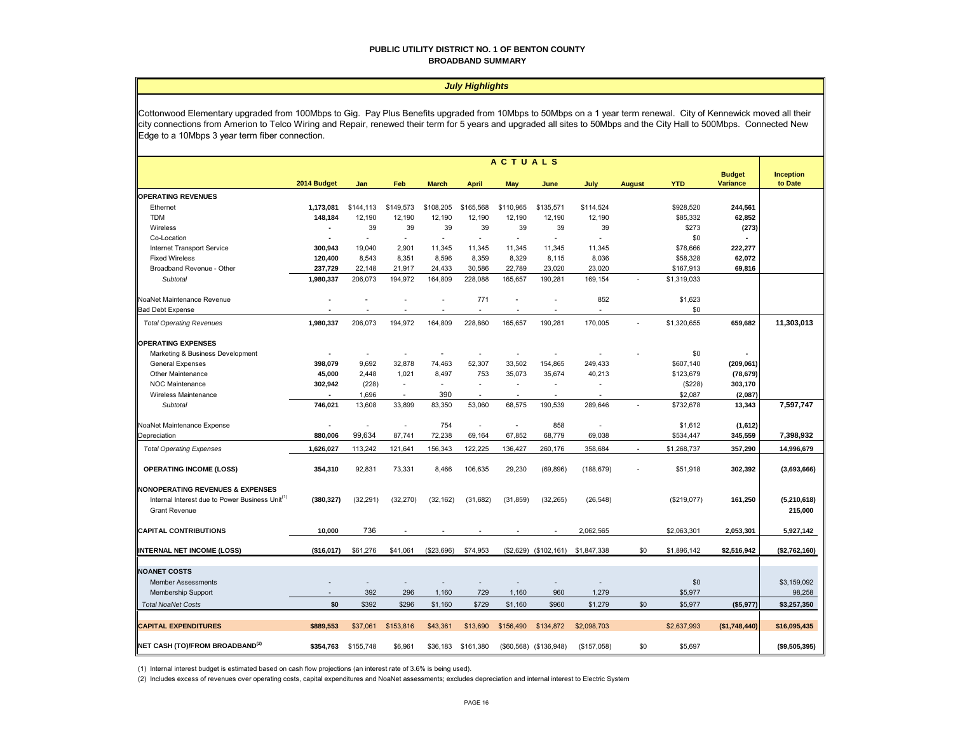#### **PUBLIC UTILITY DISTRICT NO. 1 OF BENTON COUNTY BROADBAND SUMMARY**

#### *July Highlights*

Cottonwood Elementary upgraded from 100Mbps to Gig. Pay Plus Benefits upgraded from 10Mbps to 50Mbps on a 1 year term renewal. City of Kennewick moved all their city connections from Amerion to Telco Wiring and Repair, renewed their term for 5 years and upgraded all sites to 50Mbps and the City Hall to 500Mbps. Connected New Edge to a 10Mbps 3 year term fiber connection.

|                                                                                                                                    | <b>ACTUALS</b> |           |                |              |              |                          |                         |             |               |             |                                  |                             |
|------------------------------------------------------------------------------------------------------------------------------------|----------------|-----------|----------------|--------------|--------------|--------------------------|-------------------------|-------------|---------------|-------------|----------------------------------|-----------------------------|
|                                                                                                                                    | 2014 Budget    | Jan       | Feb            | <b>March</b> | <b>April</b> | May                      | June                    | July        | <b>August</b> | <b>YTD</b>  | <b>Budget</b><br><b>Variance</b> | <b>Inception</b><br>to Date |
| <b>OPERATING REVENUES</b>                                                                                                          |                |           |                |              |              |                          |                         |             |               |             |                                  |                             |
| Ethernet                                                                                                                           | 1,173,081      | \$144,113 | \$149,573      | \$108,205    | \$165,568    | \$110,965                | \$135,571               | \$114,524   |               | \$928,520   | 244,561                          |                             |
| <b>TDM</b>                                                                                                                         | 148,184        | 12,190    | 12,190         | 12,190       | 12,190       | 12,190                   | 12,190                  | 12,190      |               | \$85,332    | 62,852                           |                             |
| Wireless                                                                                                                           | $\blacksquare$ | 39        | 39             | 39           | 39           | 39                       | 39                      | 39          |               | \$273       | (273)                            |                             |
| Co-Location                                                                                                                        |                | ÷.        |                | ÷.           | ä,           |                          |                         |             |               | \$0         |                                  |                             |
| Internet Transport Service                                                                                                         | 300,943        | 19,040    | 2,901          | 11,345       | 11,345       | 11,345                   | 11,345                  | 11,345      |               | \$78,666    | 222,277                          |                             |
| <b>Fixed Wireless</b>                                                                                                              | 120,400        | 8,543     | 8,351          | 8,596        | 8,359        | 8,329                    | 8,115                   | 8,036       |               | \$58,328    | 62,072                           |                             |
| Broadband Revenue - Other                                                                                                          | 237,729        | 22,148    | 21,917         | 24,433       | 30,586       | 22,789                   | 23,020                  | 23,020      |               | \$167,913   | 69,816                           |                             |
| Subtotal                                                                                                                           | 1,980,337      | 206,073   | 194,972        | 164,809      | 228,088      | 165,657                  | 190,281                 | 169,154     |               | \$1,319,033 |                                  |                             |
| NoaNet Maintenance Revenue                                                                                                         |                |           |                |              | 771          |                          |                         | 852         |               | \$1,623     |                                  |                             |
| <b>Bad Debt Expense</b>                                                                                                            |                |           |                |              | ä,           | ÷.                       |                         |             |               | \$0         |                                  |                             |
| <b>Total Operating Revenues</b>                                                                                                    | 1,980,337      | 206,073   | 194,972        | 164,809      | 228,860      | 165,657                  | 190,281                 | 170,005     |               | \$1,320,655 | 659,682                          | 11,303,013                  |
| <b>OPERATING EXPENSES</b>                                                                                                          |                |           |                |              |              |                          |                         |             |               |             |                                  |                             |
| Marketing & Business Development                                                                                                   |                |           |                |              |              |                          |                         |             |               | \$0         |                                  |                             |
| General Expenses                                                                                                                   | 398,079        | 9,692     | 32,878         | 74,463       | 52,307       | 33,502                   | 154,865                 | 249,433     |               | \$607,140   | (209, 061)                       |                             |
| Other Maintenance                                                                                                                  | 45,000         | 2,448     | 1,021          | 8,497        | 753          | 35,073                   | 35,674                  | 40,213      |               | \$123,679   | (78, 679)                        |                             |
| <b>NOC Maintenance</b>                                                                                                             | 302,942        | (228)     | ÷.             | ÷.           | ٠            | $\overline{\phantom{a}}$ |                         | ٠           |               | (\$228)     | 303,170                          |                             |
| Wireless Maintenance                                                                                                               |                | 1,696     | $\overline{a}$ | 390          | ٠            | ٠                        |                         |             |               | \$2,087     | (2,087)                          |                             |
| Subtotal                                                                                                                           | 746,021        | 13,608    | 33,899         | 83,350       | 53,060       | 68,575                   | 190,539                 | 289,646     |               | \$732,678   | 13,343                           | 7,597,747                   |
| NoaNet Maintenance Expense                                                                                                         |                | L,        |                | 754          | ä,           | ÷.                       | 858                     |             |               | \$1,612     | (1,612)                          |                             |
| Depreciation                                                                                                                       | 880,006        | 99,634    | 87,741         | 72,238       | 69,164       | 67,852                   | 68,779                  | 69,038      |               | \$534,447   | 345,559                          | 7,398,932                   |
| <b>Total Operating Expenses</b>                                                                                                    | 1.626.027      | 113,242   | 121,641        | 156,343      | 122,225      | 136,427                  | 260,176                 | 358,684     |               | \$1,268,737 | 357,290                          | 14,996,679                  |
|                                                                                                                                    |                |           |                |              |              |                          |                         |             |               |             |                                  |                             |
| <b>OPERATING INCOME (LOSS)</b>                                                                                                     | 354,310        | 92,831    | 73,331         | 8,466        | 106,635      | 29,230                   | (69, 896)               | (188, 679)  |               | \$51,918    | 302,392                          | (3,693,666)                 |
| <b>NONOPERATING REVENUES &amp; EXPENSES</b><br>Internal Interest due to Power Business Unit <sup>(1)</sup><br><b>Grant Revenue</b> | (380, 327)     | (32, 291) | (32, 270)      | (32, 162)    | (31, 682)    | (31, 859)                | (32, 265)               | (26, 548)   |               | (\$219,077) | 161,250                          | (5,210,618)<br>215,000      |
| <b>CAPITAL CONTRIBUTIONS</b>                                                                                                       | 10,000         | 736       |                |              |              |                          |                         | 2,062,565   |               | \$2,063,301 | 2,053,301                        | 5,927,142                   |
| <b>INTERNAL NET INCOME (LOSS)</b>                                                                                                  | (\$16,017)     | \$61,276  | \$41,061       | (\$23,696)   | \$74,953     |                          | $($2,629)$ $($102,161)$ | \$1,847,338 | \$0           | \$1,896,142 | \$2,516,942                      | (\$2,762,160)               |
|                                                                                                                                    |                |           |                |              |              |                          |                         |             |               |             |                                  |                             |
| <b>NOANET COSTS</b>                                                                                                                |                |           |                |              |              |                          |                         |             |               |             |                                  |                             |
| <b>Member Assessments</b>                                                                                                          |                |           |                |              |              |                          |                         |             |               | \$0         |                                  | \$3,159,092                 |
| Membership Support                                                                                                                 |                | 392       | 296            | 1,160        | 729          | 1,160                    | 960                     | 1,279       |               | \$5,977     |                                  | 98,258                      |
|                                                                                                                                    | \$0            | \$392     | \$296          |              |              |                          | \$960                   | \$1,279     | \$0           |             |                                  | \$3,257,350                 |
| <b>Total NoaNet Costs</b>                                                                                                          |                |           |                | \$1,160      | \$729        | \$1,160                  |                         |             |               | \$5,977     | (\$5,977)                        |                             |
| <b>CAPITAL EXPENDITURES</b>                                                                                                        | \$889,553      | \$37,061  | \$153,816      | \$43,361     | \$13,690     | \$156,490                | \$134,872               | \$2,098,703 |               | \$2,637,993 | (\$1,748,440)                    | \$16,095,435                |
| NET CASH (TO)/FROM BROADBAND <sup>(2)</sup>                                                                                        | \$354,763      | \$155,748 | \$6,961        | \$36,183     | \$161,380    |                          | (\$60,568) (\$136,948)  | (\$157,058) | \$0           | \$5,697     |                                  | (\$9,505,395)               |

(1) Internal interest budget is estimated based on cash flow projections (an interest rate of 3.6% is being used).

(2) Includes excess of revenues over operating costs, capital expenditures and NoaNet assessments; excludes depreciation and internal interest to Electric System